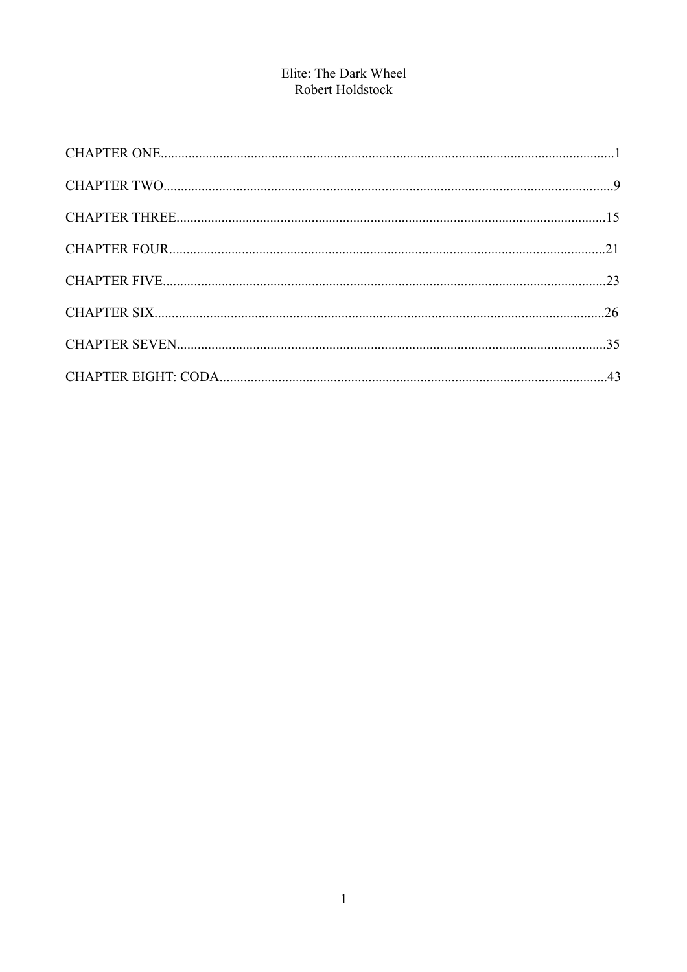# Elite: The Dark Wheel Robert Holdstock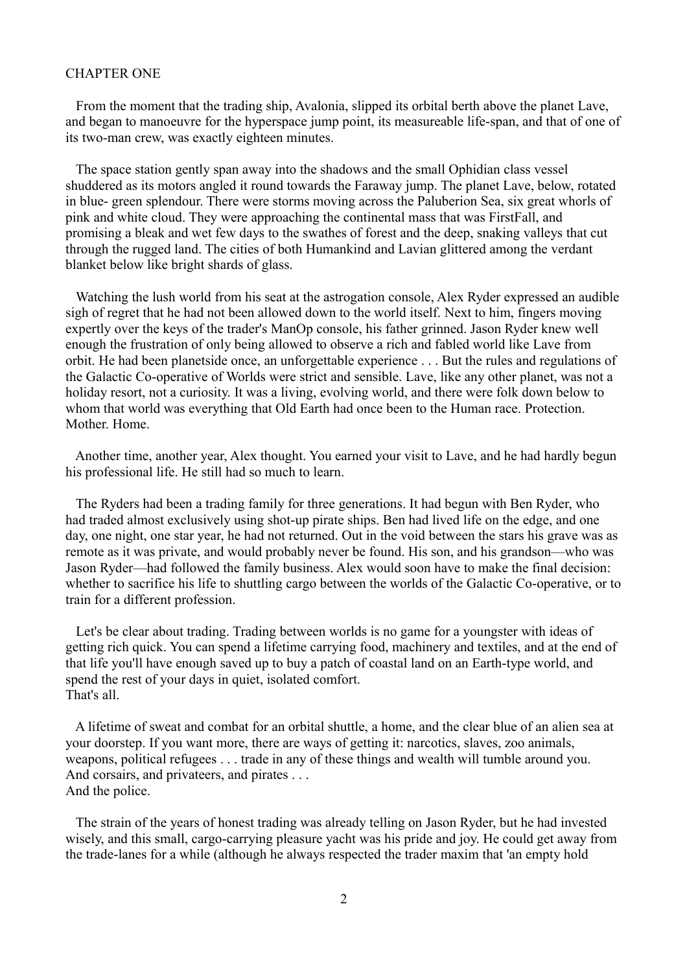#### CHAPTER ONE

 From the moment that the trading ship, Avalonia, slipped its orbital berth above the planet Lave, and began to manoeuvre for the hyperspace jump point, its measureable life-span, and that of one of its two-man crew, was exactly eighteen minutes.

 The space station gently span away into the shadows and the small Ophidian class vessel shuddered as its motors angled it round towards the Faraway jump. The planet Lave, below, rotated in blue- green splendour. There were storms moving across the Paluberion Sea, six great whorls of pink and white cloud. They were approaching the continental mass that was FirstFall, and promising a bleak and wet few days to the swathes of forest and the deep, snaking valleys that cut through the rugged land. The cities of both Humankind and Lavian glittered among the verdant blanket below like bright shards of glass.

 Watching the lush world from his seat at the astrogation console, Alex Ryder expressed an audible sigh of regret that he had not been allowed down to the world itself. Next to him, fingers moving expertly over the keys of the trader's ManOp console, his father grinned. Jason Ryder knew well enough the frustration of only being allowed to observe a rich and fabled world like Lave from orbit. He had been planetside once, an unforgettable experience . . . But the rules and regulations of the Galactic Co-operative of Worlds were strict and sensible. Lave, like any other planet, was not a holiday resort, not a curiosity. It was a living, evolving world, and there were folk down below to whom that world was everything that Old Earth had once been to the Human race. Protection. Mother. Home.

 Another time, another year, Alex thought. You earned your visit to Lave, and he had hardly begun his professional life. He still had so much to learn.

 The Ryders had been a trading family for three generations. It had begun with Ben Ryder, who had traded almost exclusively using shot-up pirate ships. Ben had lived life on the edge, and one day, one night, one star year, he had not returned. Out in the void between the stars his grave was as remote as it was private, and would probably never be found. His son, and his grandson—who was Jason Ryder—had followed the family business. Alex would soon have to make the final decision: whether to sacrifice his life to shuttling cargo between the worlds of the Galactic Co-operative, or to train for a different profession.

 Let's be clear about trading. Trading between worlds is no game for a youngster with ideas of getting rich quick. You can spend a lifetime carrying food, machinery and textiles, and at the end of that life you'll have enough saved up to buy a patch of coastal land on an Earth-type world, and spend the rest of your days in quiet, isolated comfort. That's all.

 A lifetime of sweat and combat for an orbital shuttle, a home, and the clear blue of an alien sea at your doorstep. If you want more, there are ways of getting it: narcotics, slaves, zoo animals, weapons, political refugees . . . trade in any of these things and wealth will tumble around you. And corsairs, and privateers, and pirates . . . And the police.

 The strain of the years of honest trading was already telling on Jason Ryder, but he had invested wisely, and this small, cargo-carrying pleasure yacht was his pride and joy. He could get away from the trade-lanes for a while (although he always respected the trader maxim that 'an empty hold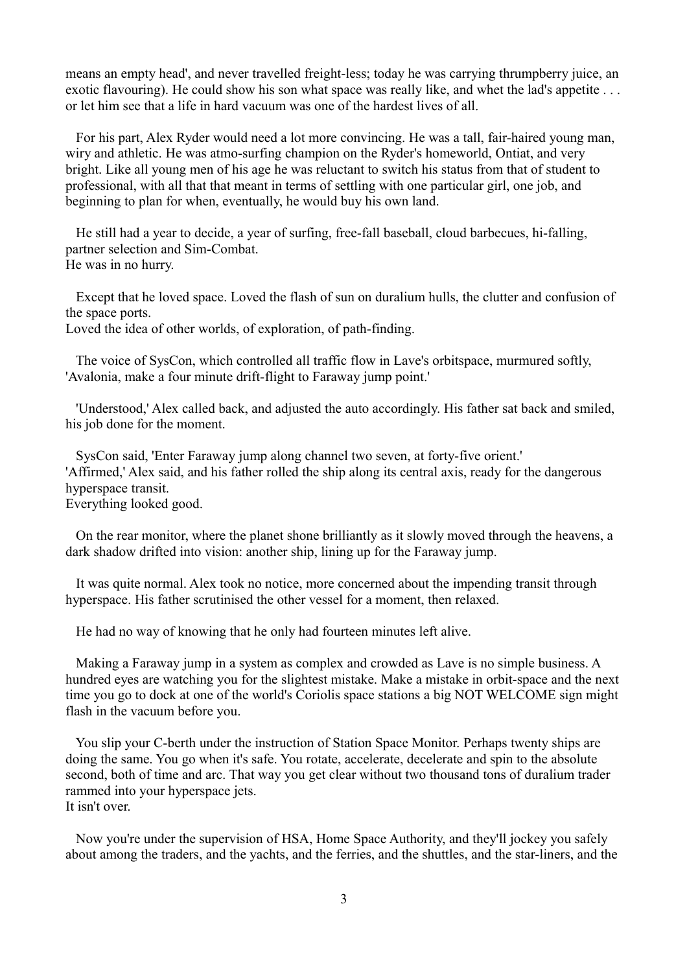means an empty head', and never travelled freight-less; today he was carrying thrumpberry juice, an exotic flavouring). He could show his son what space was really like, and whet the lad's appetite . . . or let him see that a life in hard vacuum was one of the hardest lives of all.

 For his part, Alex Ryder would need a lot more convincing. He was a tall, fair-haired young man, wiry and athletic. He was atmo-surfing champion on the Ryder's homeworld, Ontiat, and very bright. Like all young men of his age he was reluctant to switch his status from that of student to professional, with all that that meant in terms of settling with one particular girl, one job, and beginning to plan for when, eventually, he would buy his own land.

 He still had a year to decide, a year of surfing, free-fall baseball, cloud barbecues, hi-falling, partner selection and Sim-Combat. He was in no hurry.

 Except that he loved space. Loved the flash of sun on duralium hulls, the clutter and confusion of the space ports.

Loved the idea of other worlds, of exploration, of path-finding.

 The voice of SysCon, which controlled all traffic flow in Lave's orbitspace, murmured softly, 'Avalonia, make a four minute drift-flight to Faraway jump point.'

 'Understood,' Alex called back, and adjusted the auto accordingly. His father sat back and smiled, his job done for the moment.

 SysCon said, 'Enter Faraway jump along channel two seven, at forty-five orient.' 'Affirmed,' Alex said, and his father rolled the ship along its central axis, ready for the dangerous hyperspace transit. Everything looked good.

 On the rear monitor, where the planet shone brilliantly as it slowly moved through the heavens, a dark shadow drifted into vision: another ship, lining up for the Faraway jump.

 It was quite normal. Alex took no notice, more concerned about the impending transit through hyperspace. His father scrutinised the other vessel for a moment, then relaxed.

He had no way of knowing that he only had fourteen minutes left alive.

 Making a Faraway jump in a system as complex and crowded as Lave is no simple business. A hundred eyes are watching you for the slightest mistake. Make a mistake in orbit-space and the next time you go to dock at one of the world's Coriolis space stations a big NOT WELCOME sign might flash in the vacuum before you.

 You slip your C-berth under the instruction of Station Space Monitor. Perhaps twenty ships are doing the same. You go when it's safe. You rotate, accelerate, decelerate and spin to the absolute second, both of time and arc. That way you get clear without two thousand tons of duralium trader rammed into your hyperspace jets. It isn't over.

 Now you're under the supervision of HSA, Home Space Authority, and they'll jockey you safely about among the traders, and the yachts, and the ferries, and the shuttles, and the star-liners, and the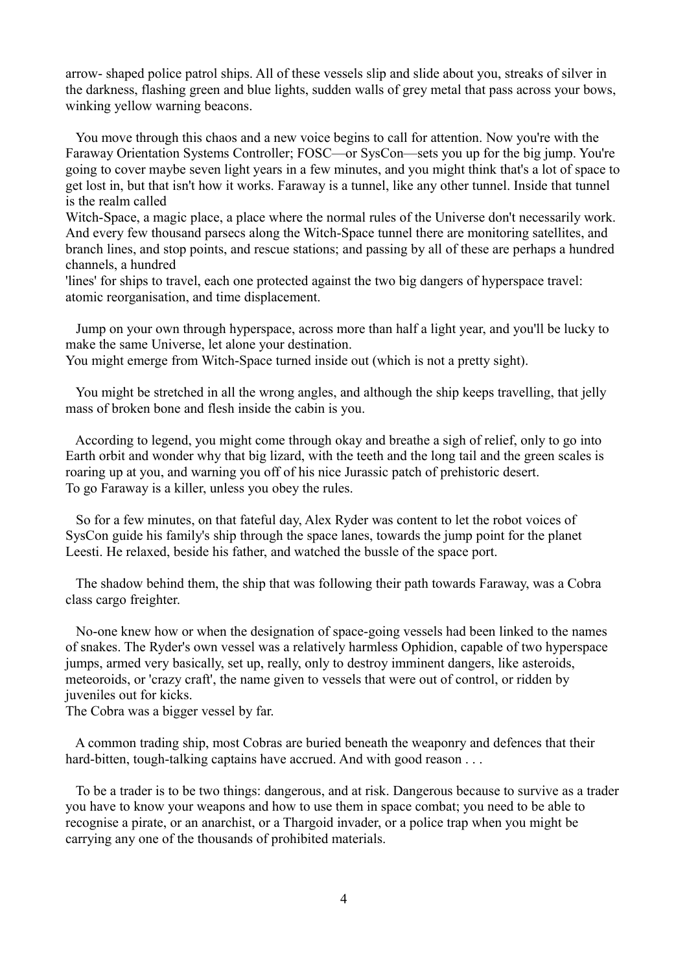arrow- shaped police patrol ships. All of these vessels slip and slide about you, streaks of silver in the darkness, flashing green and blue lights, sudden walls of grey metal that pass across your bows, winking yellow warning beacons.

 You move through this chaos and a new voice begins to call for attention. Now you're with the Faraway Orientation Systems Controller; FOSC—or SysCon—sets you up for the big jump. You're going to cover maybe seven light years in a few minutes, and you might think that's a lot of space to get lost in, but that isn't how it works. Faraway is a tunnel, like any other tunnel. Inside that tunnel is the realm called

Witch-Space, a magic place, a place where the normal rules of the Universe don't necessarily work. And every few thousand parsecs along the Witch-Space tunnel there are monitoring satellites, and branch lines, and stop points, and rescue stations; and passing by all of these are perhaps a hundred channels, a hundred

'lines' for ships to travel, each one protected against the two big dangers of hyperspace travel: atomic reorganisation, and time displacement.

 Jump on your own through hyperspace, across more than half a light year, and you'll be lucky to make the same Universe, let alone your destination.

You might emerge from Witch-Space turned inside out (which is not a pretty sight).

 You might be stretched in all the wrong angles, and although the ship keeps travelling, that jelly mass of broken bone and flesh inside the cabin is you.

 According to legend, you might come through okay and breathe a sigh of relief, only to go into Earth orbit and wonder why that big lizard, with the teeth and the long tail and the green scales is roaring up at you, and warning you off of his nice Jurassic patch of prehistoric desert. To go Faraway is a killer, unless you obey the rules.

 So for a few minutes, on that fateful day, Alex Ryder was content to let the robot voices of SysCon guide his family's ship through the space lanes, towards the jump point for the planet Leesti. He relaxed, beside his father, and watched the bussle of the space port.

 The shadow behind them, the ship that was following their path towards Faraway, was a Cobra class cargo freighter.

 No-one knew how or when the designation of space-going vessels had been linked to the names of snakes. The Ryder's own vessel was a relatively harmless Ophidion, capable of two hyperspace jumps, armed very basically, set up, really, only to destroy imminent dangers, like asteroids, meteoroids, or 'crazy craft', the name given to vessels that were out of control, or ridden by juveniles out for kicks.

The Cobra was a bigger vessel by far.

 A common trading ship, most Cobras are buried beneath the weaponry and defences that their hard-bitten, tough-talking captains have accrued. And with good reason . . .

 To be a trader is to be two things: dangerous, and at risk. Dangerous because to survive as a trader you have to know your weapons and how to use them in space combat; you need to be able to recognise a pirate, or an anarchist, or a Thargoid invader, or a police trap when you might be carrying any one of the thousands of prohibited materials.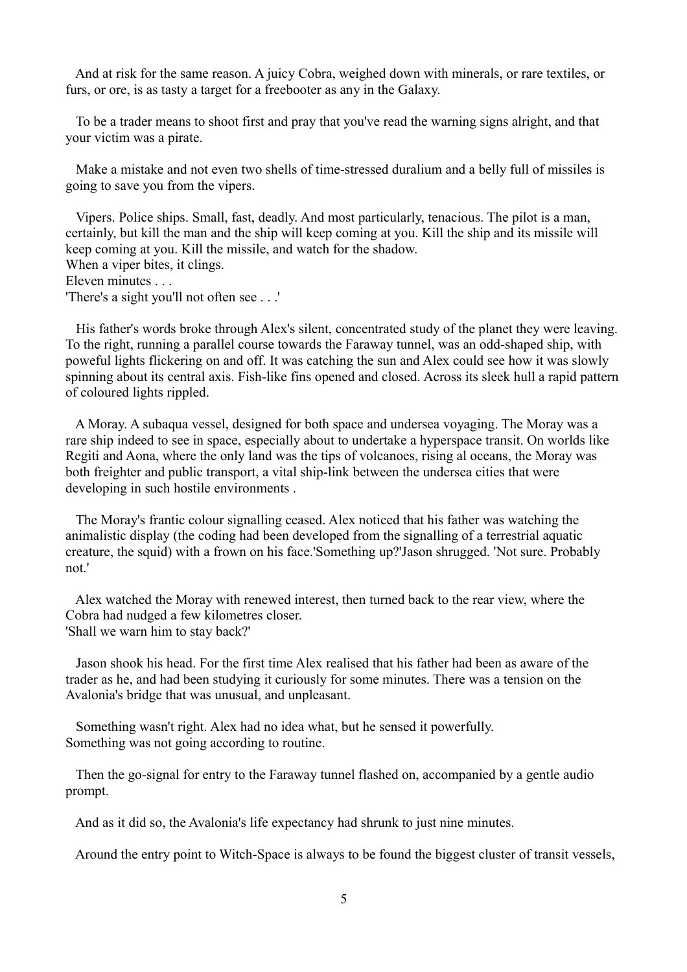And at risk for the same reason. A juicy Cobra, weighed down with minerals, or rare textiles, or furs, or ore, is as tasty a target for a freebooter as any in the Galaxy.

 To be a trader means to shoot first and pray that you've read the warning signs alright, and that your victim was a pirate.

 Make a mistake and not even two shells of time-stressed duralium and a belly full of missiles is going to save you from the vipers.

 Vipers. Police ships. Small, fast, deadly. And most particularly, tenacious. The pilot is a man, certainly, but kill the man and the ship will keep coming at you. Kill the ship and its missile will keep coming at you. Kill the missile, and watch for the shadow. When a viper bites, it clings. Eleven minutes . . . 'There's a sight you'll not often see . . .'

 His father's words broke through Alex's silent, concentrated study of the planet they were leaving. To the right, running a parallel course towards the Faraway tunnel, was an odd-shaped ship, with poweful lights flickering on and off. It was catching the sun and Alex could see how it was slowly spinning about its central axis. Fish-like fins opened and closed. Across its sleek hull a rapid pattern of coloured lights rippled.

 A Moray. A subaqua vessel, designed for both space and undersea voyaging. The Moray was a rare ship indeed to see in space, especially about to undertake a hyperspace transit. On worlds like Regiti and Aona, where the only land was the tips of volcanoes, rising al oceans, the Moray was both freighter and public transport, a vital ship-link between the undersea cities that were developing in such hostile environments .

 The Moray's frantic colour signalling ceased. Alex noticed that his father was watching the animalistic display (the coding had been developed from the signalling of a terrestrial aquatic creature, the squid) with a frown on his face.'Something up?'Jason shrugged. 'Not sure. Probably not.'

 Alex watched the Moray with renewed interest, then turned back to the rear view, where the Cobra had nudged a few kilometres closer. 'Shall we warn him to stay back?'

 Jason shook his head. For the first time Alex realised that his father had been as aware of the trader as he, and had been studying it curiously for some minutes. There was a tension on the Avalonia's bridge that was unusual, and unpleasant.

 Something wasn't right. Alex had no idea what, but he sensed it powerfully. Something was not going according to routine.

 Then the go-signal for entry to the Faraway tunnel flashed on, accompanied by a gentle audio prompt.

And as it did so, the Avalonia's life expectancy had shrunk to just nine minutes.

Around the entry point to Witch-Space is always to be found the biggest cluster of transit vessels,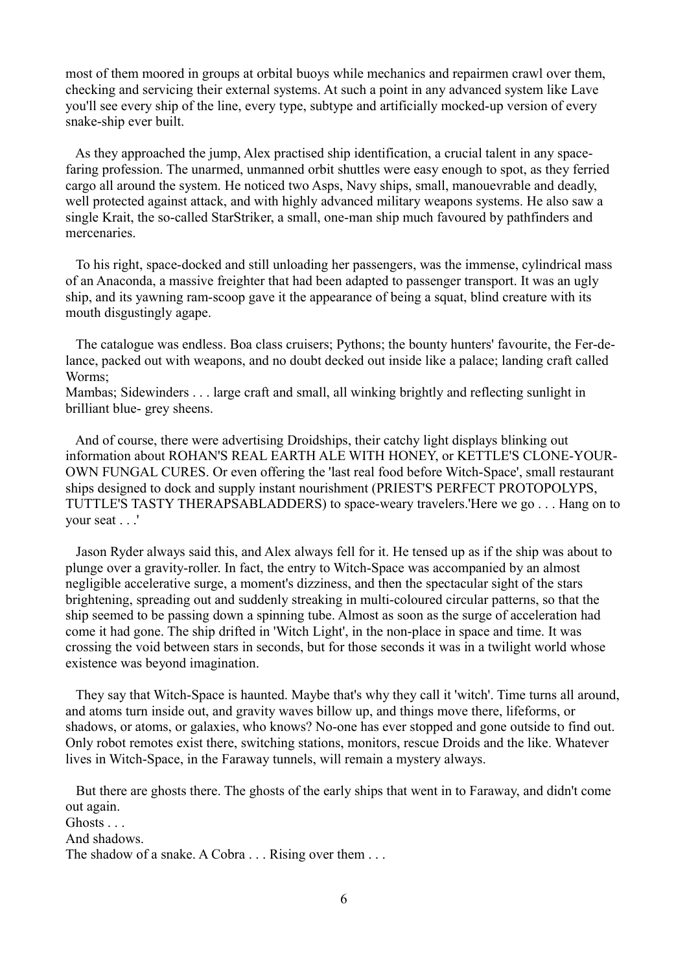most of them moored in groups at orbital buoys while mechanics and repairmen crawl over them, checking and servicing their external systems. At such a point in any advanced system like Lave you'll see every ship of the line, every type, subtype and artificially mocked-up version of every snake-ship ever built.

 As they approached the jump, Alex practised ship identification, a crucial talent in any spacefaring profession. The unarmed, unmanned orbit shuttles were easy enough to spot, as they ferried cargo all around the system. He noticed two Asps, Navy ships, small, manouevrable and deadly, well protected against attack, and with highly advanced military weapons systems. He also saw a single Krait, the so-called StarStriker, a small, one-man ship much favoured by pathfinders and mercenaries.

 To his right, space-docked and still unloading her passengers, was the immense, cylindrical mass of an Anaconda, a massive freighter that had been adapted to passenger transport. It was an ugly ship, and its yawning ram-scoop gave it the appearance of being a squat, blind creature with its mouth disgustingly agape.

 The catalogue was endless. Boa class cruisers; Pythons; the bounty hunters' favourite, the Fer-delance, packed out with weapons, and no doubt decked out inside like a palace; landing craft called Worms;

Mambas; Sidewinders . . . large craft and small, all winking brightly and reflecting sunlight in brilliant blue- grey sheens.

 And of course, there were advertising Droidships, their catchy light displays blinking out information about ROHAN'S REAL EARTH ALE WITH HONEY, or KETTLE'S CLONE-YOUR-OWN FUNGAL CURES. Or even offering the 'last real food before Witch-Space', small restaurant ships designed to dock and supply instant nourishment (PRIEST'S PERFECT PROTOPOLYPS, TUTTLE'S TASTY THERAPSABLADDERS) to space-weary travelers.'Here we go . . . Hang on to your seat . . .'

 Jason Ryder always said this, and Alex always fell for it. He tensed up as if the ship was about to plunge over a gravity-roller. In fact, the entry to Witch-Space was accompanied by an almost negligible accelerative surge, a moment's dizziness, and then the spectacular sight of the stars brightening, spreading out and suddenly streaking in multi-coloured circular patterns, so that the ship seemed to be passing down a spinning tube. Almost as soon as the surge of acceleration had come it had gone. The ship drifted in 'Witch Light', in the non-place in space and time. It was crossing the void between stars in seconds, but for those seconds it was in a twilight world whose existence was beyond imagination.

 They say that Witch-Space is haunted. Maybe that's why they call it 'witch'. Time turns all around, and atoms turn inside out, and gravity waves billow up, and things move there, lifeforms, or shadows, or atoms, or galaxies, who knows? No-one has ever stopped and gone outside to find out. Only robot remotes exist there, switching stations, monitors, rescue Droids and the like. Whatever lives in Witch-Space, in the Faraway tunnels, will remain a mystery always.

 But there are ghosts there. The ghosts of the early ships that went in to Faraway, and didn't come out again. Ghosts . . . And shadows. The shadow of a snake. A Cobra . . . Rising over them . . .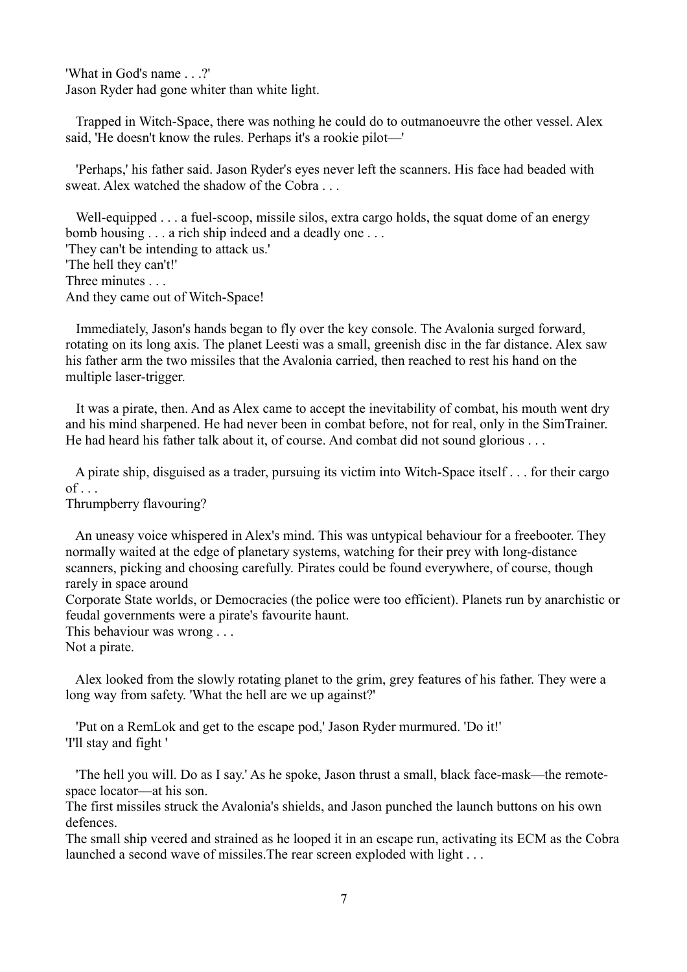'What in God's name . . .?' Jason Ryder had gone whiter than white light.

 Trapped in Witch-Space, there was nothing he could do to outmanoeuvre the other vessel. Alex said, 'He doesn't know the rules. Perhaps it's a rookie pilot—'

 'Perhaps,' his father said. Jason Ryder's eyes never left the scanners. His face had beaded with sweat. Alex watched the shadow of the Cobra

Well-equipped . . . a fuel-scoop, missile silos, extra cargo holds, the squat dome of an energy bomb housing . . . a rich ship indeed and a deadly one . . . 'They can't be intending to attack us.' 'The hell they can't!' Three minutes . . . And they came out of Witch-Space!

 Immediately, Jason's hands began to fly over the key console. The Avalonia surged forward, rotating on its long axis. The planet Leesti was a small, greenish disc in the far distance. Alex saw his father arm the two missiles that the Avalonia carried, then reached to rest his hand on the multiple laser-trigger.

 It was a pirate, then. And as Alex came to accept the inevitability of combat, his mouth went dry and his mind sharpened. He had never been in combat before, not for real, only in the SimTrainer. He had heard his father talk about it, of course. And combat did not sound glorious . . .

 A pirate ship, disguised as a trader, pursuing its victim into Witch-Space itself . . . for their cargo  $of$ ...

Thrumpberry flavouring?

 An uneasy voice whispered in Alex's mind. This was untypical behaviour for a freebooter. They normally waited at the edge of planetary systems, watching for their prey with long-distance scanners, picking and choosing carefully. Pirates could be found everywhere, of course, though rarely in space around

Corporate State worlds, or Democracies (the police were too efficient). Planets run by anarchistic or feudal governments were a pirate's favourite haunt.

This behaviour was wrong . . .

Not a pirate.

 Alex looked from the slowly rotating planet to the grim, grey features of his father. They were a long way from safety. 'What the hell are we up against?'

 'Put on a RemLok and get to the escape pod,' Jason Ryder murmured. 'Do it!' 'I'll stay and fight '

 'The hell you will. Do as I say.' As he spoke, Jason thrust a small, black face-mask—the remotespace locator—at his son.

The first missiles struck the Avalonia's shields, and Jason punched the launch buttons on his own defences.

The small ship veered and strained as he looped it in an escape run, activating its ECM as the Cobra launched a second wave of missiles.The rear screen exploded with light . . .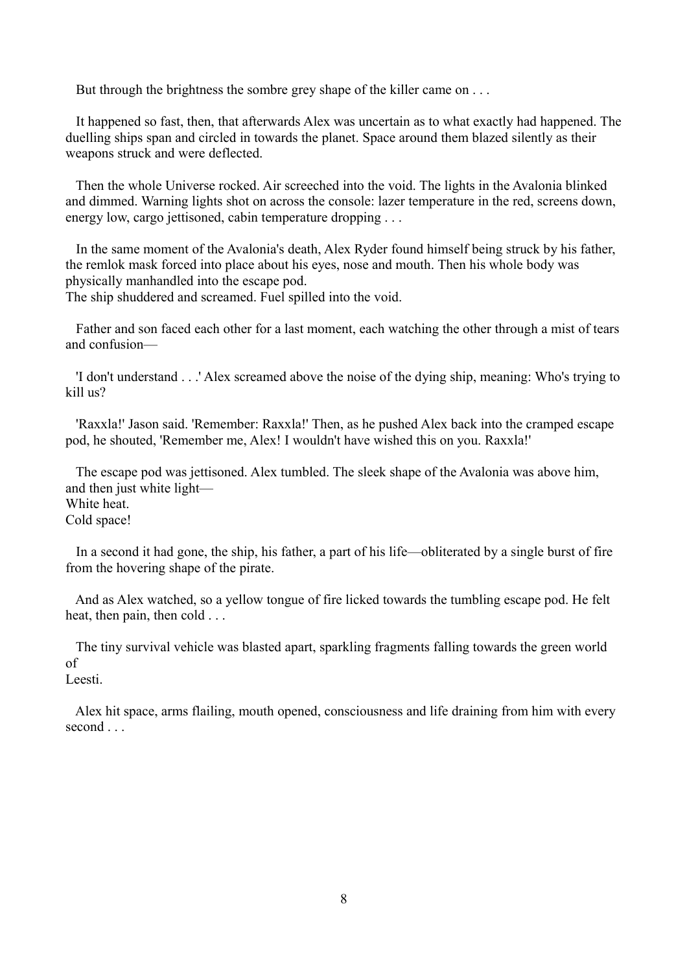But through the brightness the sombre grey shape of the killer came on . . .

 It happened so fast, then, that afterwards Alex was uncertain as to what exactly had happened. The duelling ships span and circled in towards the planet. Space around them blazed silently as their weapons struck and were deflected.

 Then the whole Universe rocked. Air screeched into the void. The lights in the Avalonia blinked and dimmed. Warning lights shot on across the console: lazer temperature in the red, screens down, energy low, cargo jettisoned, cabin temperature dropping . . .

 In the same moment of the Avalonia's death, Alex Ryder found himself being struck by his father, the remlok mask forced into place about his eyes, nose and mouth. Then his whole body was physically manhandled into the escape pod. The ship shuddered and screamed. Fuel spilled into the void.

 Father and son faced each other for a last moment, each watching the other through a mist of tears and confusion—

 'I don't understand . . .' Alex screamed above the noise of the dying ship, meaning: Who's trying to kill us?

 'Raxxla!' Jason said. 'Remember: Raxxla!' Then, as he pushed Alex back into the cramped escape pod, he shouted, 'Remember me, Alex! I wouldn't have wished this on you. Raxxla!'

 The escape pod was jettisoned. Alex tumbled. The sleek shape of the Avalonia was above him, and then just white light— White heat. Cold space!

 In a second it had gone, the ship, his father, a part of his life—obliterated by a single burst of fire from the hovering shape of the pirate.

 And as Alex watched, so a yellow tongue of fire licked towards the tumbling escape pod. He felt heat, then pain, then cold . . .

 The tiny survival vehicle was blasted apart, sparkling fragments falling towards the green world of

Leesti.

 Alex hit space, arms flailing, mouth opened, consciousness and life draining from him with every second . . .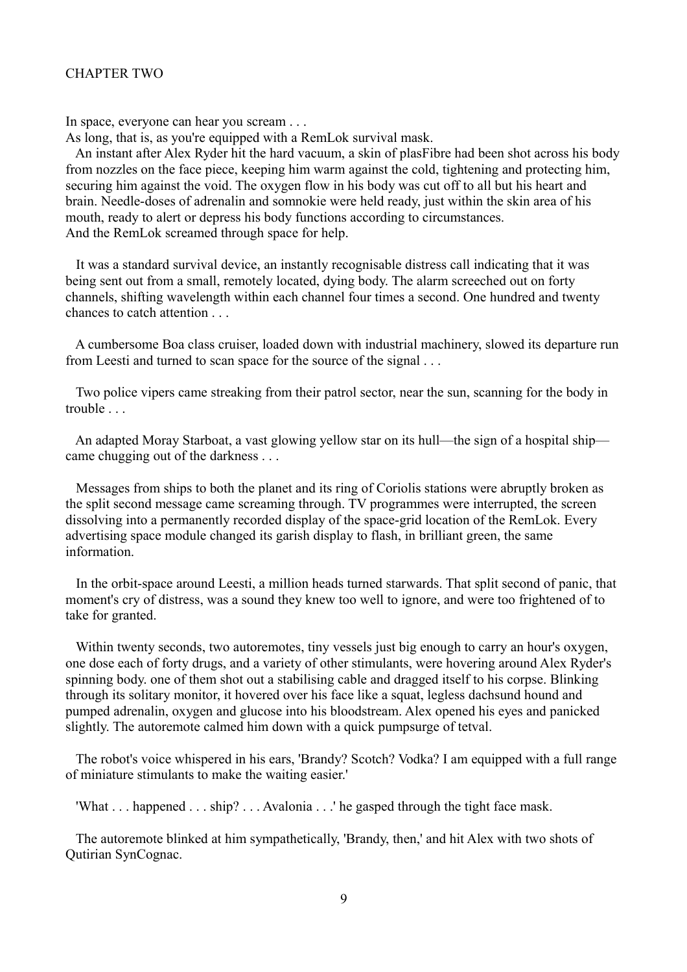In space, everyone can hear you scream . . .

As long, that is, as you're equipped with a RemLok survival mask.

 An instant after Alex Ryder hit the hard vacuum, a skin of plasFibre had been shot across his body from nozzles on the face piece, keeping him warm against the cold, tightening and protecting him, securing him against the void. The oxygen flow in his body was cut off to all but his heart and brain. Needle-doses of adrenalin and somnokie were held ready, just within the skin area of his mouth, ready to alert or depress his body functions according to circumstances. And the RemLok screamed through space for help.

 It was a standard survival device, an instantly recognisable distress call indicating that it was being sent out from a small, remotely located, dying body. The alarm screeched out on forty channels, shifting wavelength within each channel four times a second. One hundred and twenty chances to catch attention

 A cumbersome Boa class cruiser, loaded down with industrial machinery, slowed its departure run from Leesti and turned to scan space for the source of the signal . . .

 Two police vipers came streaking from their patrol sector, near the sun, scanning for the body in trouble . . .

 An adapted Moray Starboat, a vast glowing yellow star on its hull—the sign of a hospital ship came chugging out of the darkness . . .

 Messages from ships to both the planet and its ring of Coriolis stations were abruptly broken as the split second message came screaming through. TV programmes were interrupted, the screen dissolving into a permanently recorded display of the space-grid location of the RemLok. Every advertising space module changed its garish display to flash, in brilliant green, the same information.

 In the orbit-space around Leesti, a million heads turned starwards. That split second of panic, that moment's cry of distress, was a sound they knew too well to ignore, and were too frightened of to take for granted.

 Within twenty seconds, two autoremotes, tiny vessels just big enough to carry an hour's oxygen, one dose each of forty drugs, and a variety of other stimulants, were hovering around Alex Ryder's spinning body. one of them shot out a stabilising cable and dragged itself to his corpse. Blinking through its solitary monitor, it hovered over his face like a squat, legless dachsund hound and pumped adrenalin, oxygen and glucose into his bloodstream. Alex opened his eyes and panicked slightly. The autoremote calmed him down with a quick pumpsurge of tetval.

 The robot's voice whispered in his ears, 'Brandy? Scotch? Vodka? I am equipped with a full range of miniature stimulants to make the waiting easier.'

'What . . . happened . . . ship? . . . Avalonia . . .' he gasped through the tight face mask.

 The autoremote blinked at him sympathetically, 'Brandy, then,' and hit Alex with two shots of Qutirian SynCognac.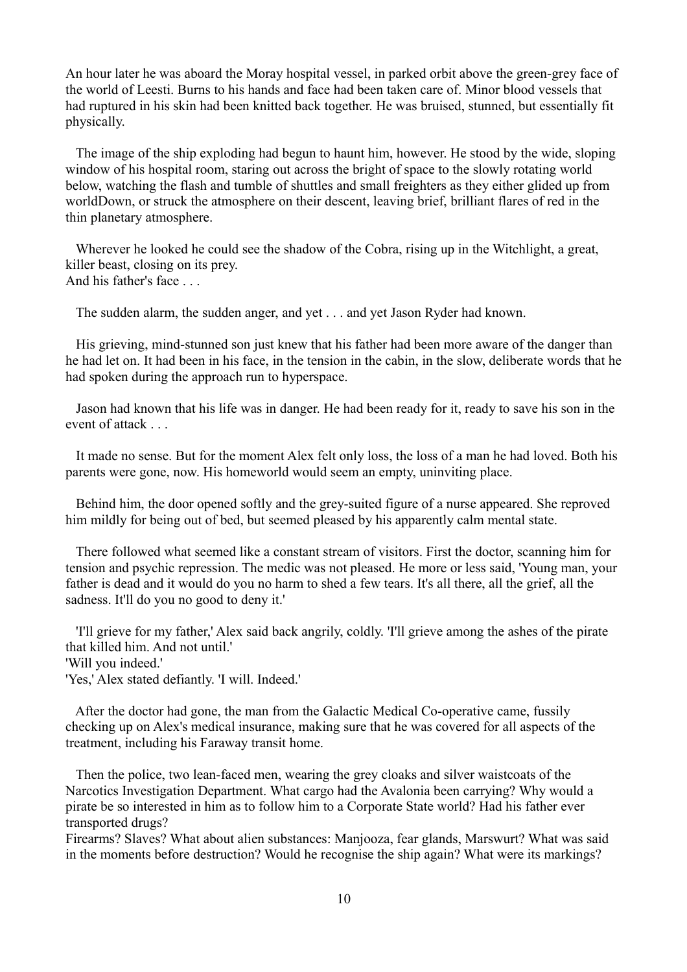An hour later he was aboard the Moray hospital vessel, in parked orbit above the green-grey face of the world of Leesti. Burns to his hands and face had been taken care of. Minor blood vessels that had ruptured in his skin had been knitted back together. He was bruised, stunned, but essentially fit physically.

 The image of the ship exploding had begun to haunt him, however. He stood by the wide, sloping window of his hospital room, staring out across the bright of space to the slowly rotating world below, watching the flash and tumble of shuttles and small freighters as they either glided up from worldDown, or struck the atmosphere on their descent, leaving brief, brilliant flares of red in the thin planetary atmosphere.

Wherever he looked he could see the shadow of the Cobra, rising up in the Witchlight, a great, killer beast, closing on its prey. And his father's face . . .

The sudden alarm, the sudden anger, and yet . . . and yet Jason Ryder had known.

 His grieving, mind-stunned son just knew that his father had been more aware of the danger than he had let on. It had been in his face, in the tension in the cabin, in the slow, deliberate words that he had spoken during the approach run to hyperspace.

 Jason had known that his life was in danger. He had been ready for it, ready to save his son in the event of attack

 It made no sense. But for the moment Alex felt only loss, the loss of a man he had loved. Both his parents were gone, now. His homeworld would seem an empty, uninviting place.

 Behind him, the door opened softly and the grey-suited figure of a nurse appeared. She reproved him mildly for being out of bed, but seemed pleased by his apparently calm mental state.

 There followed what seemed like a constant stream of visitors. First the doctor, scanning him for tension and psychic repression. The medic was not pleased. He more or less said, 'Young man, your father is dead and it would do you no harm to shed a few tears. It's all there, all the grief, all the sadness. It'll do you no good to deny it.'

 'I'll grieve for my father,' Alex said back angrily, coldly. 'I'll grieve among the ashes of the pirate that killed him. And not until.' 'Will you indeed.'

'Yes,' Alex stated defiantly. 'I will. Indeed.'

 After the doctor had gone, the man from the Galactic Medical Co-operative came, fussily checking up on Alex's medical insurance, making sure that he was covered for all aspects of the treatment, including his Faraway transit home.

 Then the police, two lean-faced men, wearing the grey cloaks and silver waistcoats of the Narcotics Investigation Department. What cargo had the Avalonia been carrying? Why would a pirate be so interested in him as to follow him to a Corporate State world? Had his father ever transported drugs?

Firearms? Slaves? What about alien substances: Manjooza, fear glands, Marswurt? What was said in the moments before destruction? Would he recognise the ship again? What were its markings?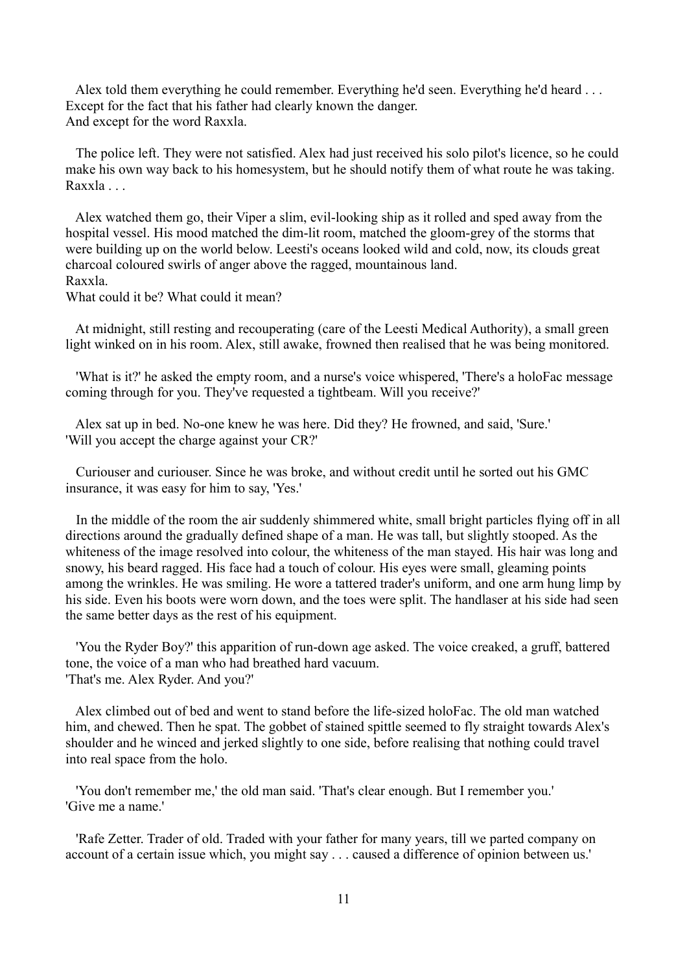Alex told them everything he could remember. Everything he'd seen. Everything he'd heard ... Except for the fact that his father had clearly known the danger. And except for the word Raxxla.

 The police left. They were not satisfied. Alex had just received his solo pilot's licence, so he could make his own way back to his homesystem, but he should notify them of what route he was taking. Raxxla

 Alex watched them go, their Viper a slim, evil-looking ship as it rolled and sped away from the hospital vessel. His mood matched the dim-lit room, matched the gloom-grey of the storms that were building up on the world below. Leesti's oceans looked wild and cold, now, its clouds great charcoal coloured swirls of anger above the ragged, mountainous land. Raxxla.

What could it be? What could it mean?

 At midnight, still resting and recouperating (care of the Leesti Medical Authority), a small green light winked on in his room. Alex, still awake, frowned then realised that he was being monitored.

 'What is it?' he asked the empty room, and a nurse's voice whispered, 'There's a holoFac message coming through for you. They've requested a tightbeam. Will you receive?'

 Alex sat up in bed. No-one knew he was here. Did they? He frowned, and said, 'Sure.' 'Will you accept the charge against your CR?'

 Curiouser and curiouser. Since he was broke, and without credit until he sorted out his GMC insurance, it was easy for him to say, 'Yes.'

 In the middle of the room the air suddenly shimmered white, small bright particles flying off in all directions around the gradually defined shape of a man. He was tall, but slightly stooped. As the whiteness of the image resolved into colour, the whiteness of the man stayed. His hair was long and snowy, his beard ragged. His face had a touch of colour. His eyes were small, gleaming points among the wrinkles. He was smiling. He wore a tattered trader's uniform, and one arm hung limp by his side. Even his boots were worn down, and the toes were split. The handlaser at his side had seen the same better days as the rest of his equipment.

 'You the Ryder Boy?' this apparition of run-down age asked. The voice creaked, a gruff, battered tone, the voice of a man who had breathed hard vacuum. 'That's me. Alex Ryder. And you?'

 Alex climbed out of bed and went to stand before the life-sized holoFac. The old man watched him, and chewed. Then he spat. The gobbet of stained spittle seemed to fly straight towards Alex's shoulder and he winced and jerked slightly to one side, before realising that nothing could travel into real space from the holo.

 'You don't remember me,' the old man said. 'That's clear enough. But I remember you.' 'Give me a name.'

 'Rafe Zetter. Trader of old. Traded with your father for many years, till we parted company on account of a certain issue which, you might say . . . caused a difference of opinion between us.'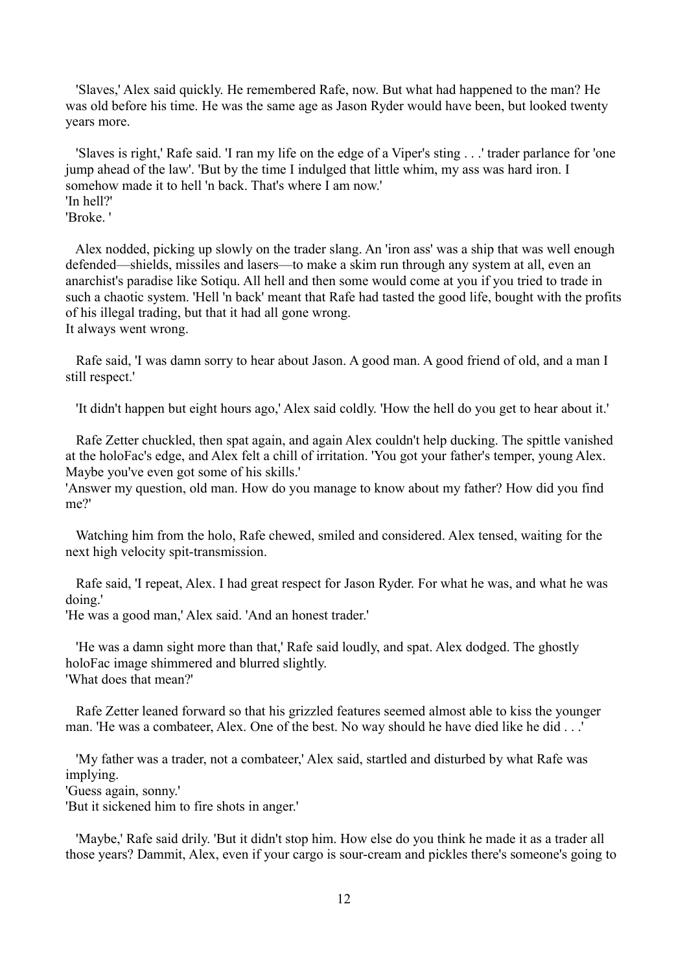'Slaves,' Alex said quickly. He remembered Rafe, now. But what had happened to the man? He was old before his time. He was the same age as Jason Ryder would have been, but looked twenty years more.

 'Slaves is right,' Rafe said. 'I ran my life on the edge of a Viper's sting . . .' trader parlance for 'one jump ahead of the law'. 'But by the time I indulged that little whim, my ass was hard iron. I somehow made it to hell 'n back. That's where I am now.' 'In hell?' 'Broke. '

 Alex nodded, picking up slowly on the trader slang. An 'iron ass' was a ship that was well enough defended—shields, missiles and lasers—to make a skim run through any system at all, even an anarchist's paradise like Sotiqu. All hell and then some would come at you if you tried to trade in such a chaotic system. 'Hell 'n back' meant that Rafe had tasted the good life, bought with the profits of his illegal trading, but that it had all gone wrong. It always went wrong.

 Rafe said, 'I was damn sorry to hear about Jason. A good man. A good friend of old, and a man I still respect.'

'It didn't happen but eight hours ago,' Alex said coldly. 'How the hell do you get to hear about it.'

 Rafe Zetter chuckled, then spat again, and again Alex couldn't help ducking. The spittle vanished at the holoFac's edge, and Alex felt a chill of irritation. 'You got your father's temper, young Alex. Maybe you've even got some of his skills.'

'Answer my question, old man. How do you manage to know about my father? How did you find me?'

 Watching him from the holo, Rafe chewed, smiled and considered. Alex tensed, waiting for the next high velocity spit-transmission.

 Rafe said, 'I repeat, Alex. I had great respect for Jason Ryder. For what he was, and what he was doing.'

'He was a good man,' Alex said. 'And an honest trader.'

 'He was a damn sight more than that,' Rafe said loudly, and spat. Alex dodged. The ghostly holoFac image shimmered and blurred slightly. 'What does that mean?'

 Rafe Zetter leaned forward so that his grizzled features seemed almost able to kiss the younger man. 'He was a combateer, Alex. One of the best. No way should he have died like he did . . .'

 'My father was a trader, not a combateer,' Alex said, startled and disturbed by what Rafe was implying.

'Guess again, sonny.'

'But it sickened him to fire shots in anger.'

 'Maybe,' Rafe said drily. 'But it didn't stop him. How else do you think he made it as a trader all those years? Dammit, Alex, even if your cargo is sour-cream and pickles there's someone's going to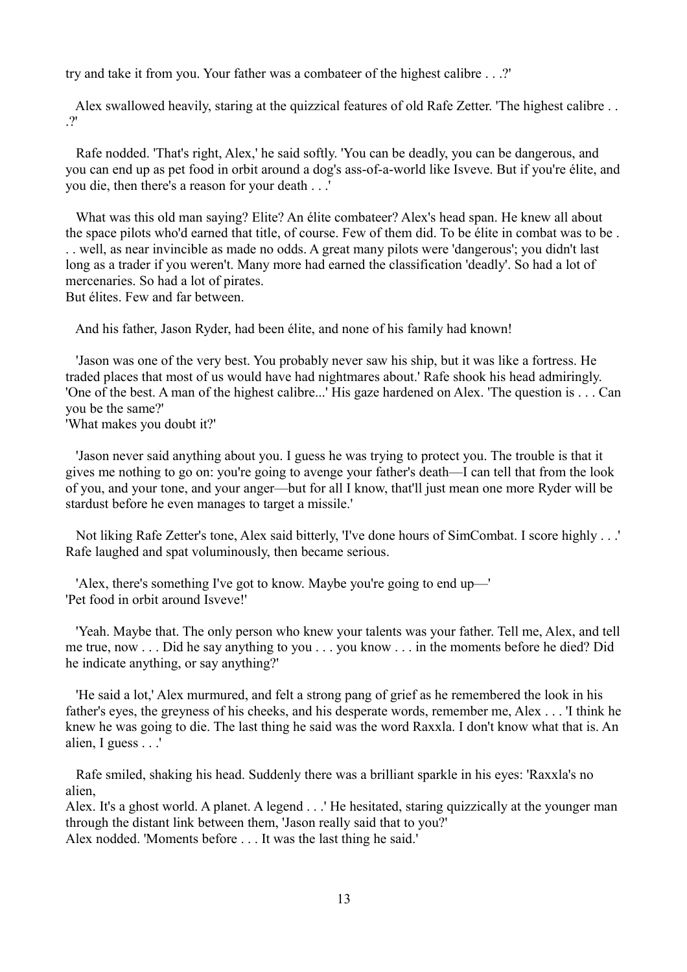try and take it from you. Your father was a combateer of the highest calibre . . .?'

 Alex swallowed heavily, staring at the quizzical features of old Rafe Zetter. 'The highest calibre . .  $\gamma$ '

 Rafe nodded. 'That's right, Alex,' he said softly. 'You can be deadly, you can be dangerous, and you can end up as pet food in orbit around a dog's ass-of-a-world like Isveve. But if you're élite, and you die, then there's a reason for your death . . .'

 What was this old man saying? Elite? An élite combateer? Alex's head span. He knew all about the space pilots who'd earned that title, of course. Few of them did. To be élite in combat was to be . . . well, as near invincible as made no odds. A great many pilots were 'dangerous'; you didn't last long as a trader if you weren't. Many more had earned the classification 'deadly'. So had a lot of mercenaries. So had a lot of pirates. But élites. Few and far between.

And his father, Jason Ryder, had been élite, and none of his family had known!

 'Jason was one of the very best. You probably never saw his ship, but it was like a fortress. He traded places that most of us would have had nightmares about.' Rafe shook his head admiringly. 'One of the best. A man of the highest calibre...' His gaze hardened on Alex. 'The question is . . . Can you be the same?'

'What makes you doubt it?'

 'Jason never said anything about you. I guess he was trying to protect you. The trouble is that it gives me nothing to go on: you're going to avenge your father's death—I can tell that from the look of you, and your tone, and your anger—but for all I know, that'll just mean one more Ryder will be stardust before he even manages to target a missile.'

 Not liking Rafe Zetter's tone, Alex said bitterly, 'I've done hours of SimCombat. I score highly . . .' Rafe laughed and spat voluminously, then became serious.

 'Alex, there's something I've got to know. Maybe you're going to end up—' 'Pet food in orbit around Isveve!'

 'Yeah. Maybe that. The only person who knew your talents was your father. Tell me, Alex, and tell me true, now . . . Did he say anything to you . . . you know . . . in the moments before he died? Did he indicate anything, or say anything?'

 'He said a lot,' Alex murmured, and felt a strong pang of grief as he remembered the look in his father's eyes, the greyness of his cheeks, and his desperate words, remember me, Alex . . . 'I think he knew he was going to die. The last thing he said was the word Raxxla. I don't know what that is. An alien, I guess . . .'

 Rafe smiled, shaking his head. Suddenly there was a brilliant sparkle in his eyes: 'Raxxla's no alien,

Alex. It's a ghost world. A planet. A legend . . .' He hesitated, staring quizzically at the younger man through the distant link between them, 'Jason really said that to you?' Alex nodded. 'Moments before . . . It was the last thing he said.'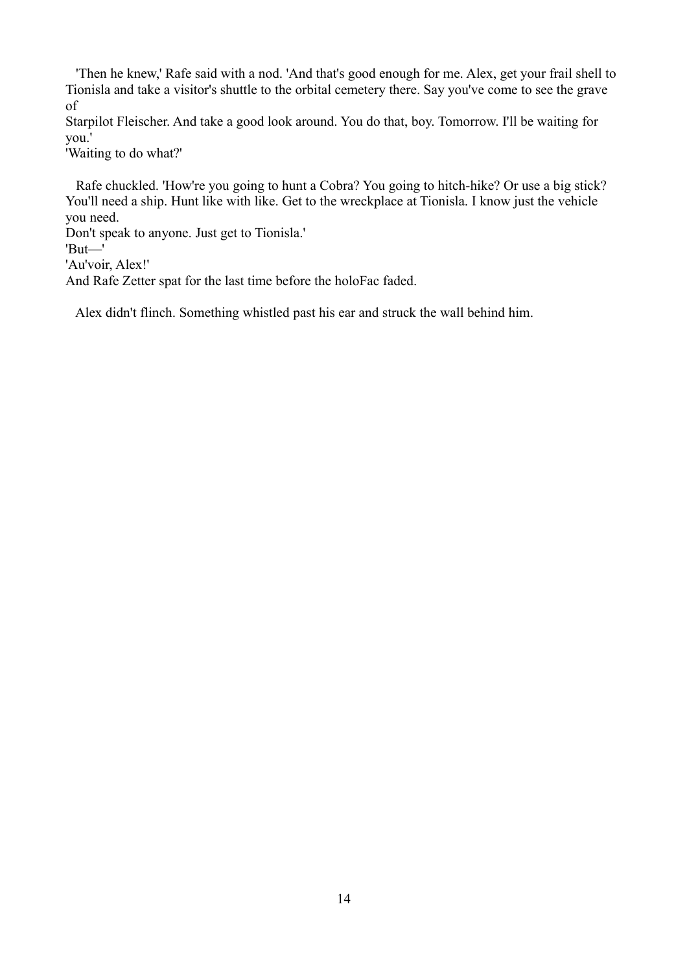'Then he knew,' Rafe said with a nod. 'And that's good enough for me. Alex, get your frail shell to Tionisla and take a visitor's shuttle to the orbital cemetery there. Say you've come to see the grave of

Starpilot Fleischer. And take a good look around. You do that, boy. Tomorrow. I'll be waiting for you.'

'Waiting to do what?'

 Rafe chuckled. 'How're you going to hunt a Cobra? You going to hitch-hike? Or use a big stick? You'll need a ship. Hunt like with like. Get to the wreckplace at Tionisla. I know just the vehicle you need.

Don't speak to anyone. Just get to Tionisla.'

'But—'

'Au'voir, Alex!'

And Rafe Zetter spat for the last time before the holoFac faded.

Alex didn't flinch. Something whistled past his ear and struck the wall behind him.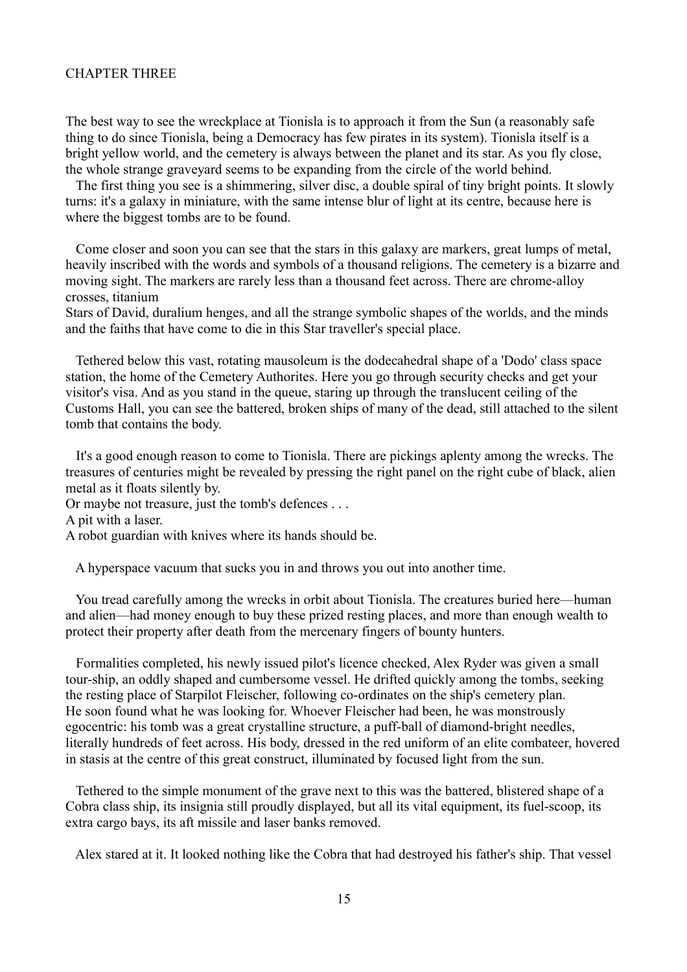## CHAPTER THREE

The best way to see the wreckplace at Tionisla is to approach it from the Sun (a reasonably safe thing to do since Tionisla, being a Democracy has few pirates in its system). Tionisla itself is a bright yellow world, and the cemetery is always between the planet and its star. As you fly close, the whole strange graveyard seems to be expanding from the circle of the world behind.

 The first thing you see is a shimmering, silver disc, a double spiral of tiny bright points. It slowly turns: it's a galaxy in miniature, with the same intense blur of light at its centre, because here is where the biggest tombs are to be found.

 Come closer and soon you can see that the stars in this galaxy are markers, great lumps of metal, heavily inscribed with the words and symbols of a thousand religions. The cemetery is a bizarre and moving sight. The markers are rarely less than a thousand feet across. There are chrome-alloy crosses, titanium

Stars of David, duralium henges, and all the strange symbolic shapes of the worlds, and the minds and the faiths that have come to die in this Star traveller's special place.

 Tethered below this vast, rotating mausoleum is the dodecahedral shape of a 'Dodo' class space station, the home of the Cemetery Authorites. Here you go through security checks and get your visitor's visa. And as you stand in the queue, staring up through the translucent ceiling of the Customs Hall, you can see the battered, broken ships of many of the dead, still attached to the silent tomb that contains the body.

 It's a good enough reason to come to Tionisla. There are pickings aplenty among the wrecks. The treasures of centuries might be revealed by pressing the right panel on the right cube of black, alien metal as it floats silently by.

Or maybe not treasure, just the tomb's defences . . .

A pit with a laser.

A robot guardian with knives where its hands should be.

A hyperspace vacuum that sucks you in and throws you out into another time.

 You tread carefully among the wrecks in orbit about Tionisla. The creatures buried here—human and alien—had money enough to buy these prized resting places, and more than enough wealth to protect their property after death from the mercenary fingers of bounty hunters.

 Formalities completed, his newly issued pilot's licence checked, Alex Ryder was given a small tour-ship, an oddly shaped and cumbersome vessel. He drifted quickly among the tombs, seeking the resting place of Starpilot Fleischer, following co-ordinates on the ship's cemetery plan. He soon found what he was looking for. Whoever Fleischer had been, he was monstrously egocentric: his tomb was a great crystalline structure, a puff-ball of diamond-bright needles, literally hundreds of feet across. His body, dressed in the red uniform of an elite combateer, hovered in stasis at the centre of this great construct, illuminated by focused light from the sun.

 Tethered to the simple monument of the grave next to this was the battered, blistered shape of a Cobra class ship, its insignia still proudly displayed, but all its vital equipment, its fuel-scoop, its extra cargo bays, its aft missile and laser banks removed.

Alex stared at it. It looked nothing like the Cobra that had destroyed his father's ship. That vessel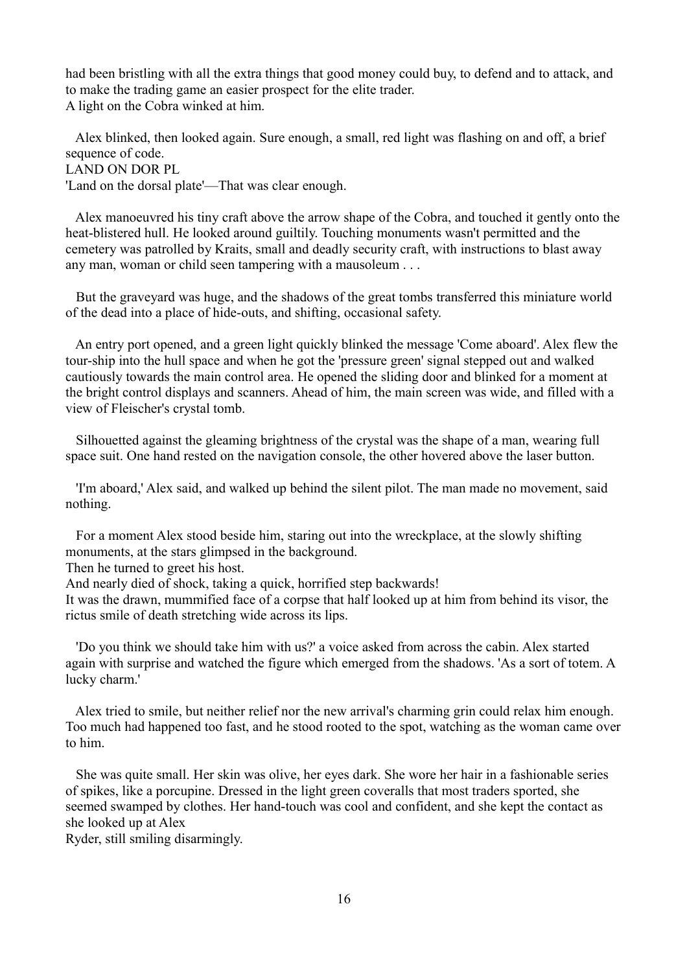had been bristling with all the extra things that good money could buy, to defend and to attack, and to make the trading game an easier prospect for the elite trader. A light on the Cobra winked at him.

 Alex blinked, then looked again. Sure enough, a small, red light was flashing on and off, a brief sequence of code. LAND ON DOR PL

'Land on the dorsal plate'—That was clear enough.

 Alex manoeuvred his tiny craft above the arrow shape of the Cobra, and touched it gently onto the heat-blistered hull. He looked around guiltily. Touching monuments wasn't permitted and the cemetery was patrolled by Kraits, small and deadly security craft, with instructions to blast away any man, woman or child seen tampering with a mausoleum . . .

 But the graveyard was huge, and the shadows of the great tombs transferred this miniature world of the dead into a place of hide-outs, and shifting, occasional safety.

 An entry port opened, and a green light quickly blinked the message 'Come aboard'. Alex flew the tour-ship into the hull space and when he got the 'pressure green' signal stepped out and walked cautiously towards the main control area. He opened the sliding door and blinked for a moment at the bright control displays and scanners. Ahead of him, the main screen was wide, and filled with a view of Fleischer's crystal tomb.

 Silhouetted against the gleaming brightness of the crystal was the shape of a man, wearing full space suit. One hand rested on the navigation console, the other hovered above the laser button.

 'I'm aboard,' Alex said, and walked up behind the silent pilot. The man made no movement, said nothing.

 For a moment Alex stood beside him, staring out into the wreckplace, at the slowly shifting monuments, at the stars glimpsed in the background.

Then he turned to greet his host.

And nearly died of shock, taking a quick, horrified step backwards!

It was the drawn, mummified face of a corpse that half looked up at him from behind its visor, the rictus smile of death stretching wide across its lips.

 'Do you think we should take him with us?' a voice asked from across the cabin. Alex started again with surprise and watched the figure which emerged from the shadows. 'As a sort of totem. A lucky charm.'

 Alex tried to smile, but neither relief nor the new arrival's charming grin could relax him enough. Too much had happened too fast, and he stood rooted to the spot, watching as the woman came over to him.

 She was quite small. Her skin was olive, her eyes dark. She wore her hair in a fashionable series of spikes, like a porcupine. Dressed in the light green coveralls that most traders sported, she seemed swamped by clothes. Her hand-touch was cool and confident, and she kept the contact as she looked up at Alex

Ryder, still smiling disarmingly.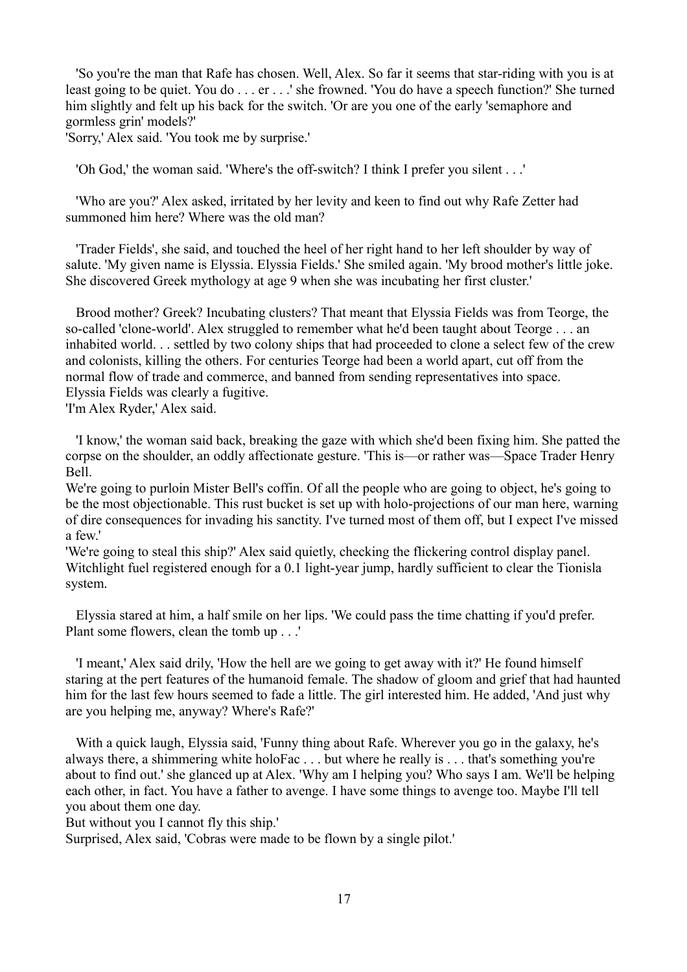'So you're the man that Rafe has chosen. Well, Alex. So far it seems that star-riding with you is at least going to be quiet. You do . . . er . . .' she frowned. 'You do have a speech function?' She turned him slightly and felt up his back for the switch. 'Or are you one of the early 'semaphore and gormless grin' models?'

'Sorry,' Alex said. 'You took me by surprise.'

'Oh God,' the woman said. 'Where's the off-switch? I think I prefer you silent . . .'

 'Who are you?' Alex asked, irritated by her levity and keen to find out why Rafe Zetter had summoned him here? Where was the old man?

 'Trader Fields', she said, and touched the heel of her right hand to her left shoulder by way of salute. 'My given name is Elyssia. Elyssia Fields.' She smiled again. 'My brood mother's little joke. She discovered Greek mythology at age 9 when she was incubating her first cluster.'

 Brood mother? Greek? Incubating clusters? That meant that Elyssia Fields was from Teorge, the so-called 'clone-world'. Alex struggled to remember what he'd been taught about Teorge . . . an inhabited world. . . settled by two colony ships that had proceeded to clone a select few of the crew and colonists, killing the others. For centuries Teorge had been a world apart, cut off from the normal flow of trade and commerce, and banned from sending representatives into space. Elyssia Fields was clearly a fugitive.

'I'm Alex Ryder,' Alex said.

 'I know,' the woman said back, breaking the gaze with which she'd been fixing him. She patted the corpse on the shoulder, an oddly affectionate gesture. 'This is—or rather was—Space Trader Henry Bell.

We're going to purloin Mister Bell's coffin. Of all the people who are going to object, he's going to be the most objectionable. This rust bucket is set up with holo-projections of our man here, warning of dire consequences for invading his sanctity. I've turned most of them off, but I expect I've missed a few.'

'We're going to steal this ship?' Alex said quietly, checking the flickering control display panel. Witchlight fuel registered enough for a 0.1 light-year jump, hardly sufficient to clear the Tionisla system.

 Elyssia stared at him, a half smile on her lips. 'We could pass the time chatting if you'd prefer. Plant some flowers, clean the tomb up . . .'

 'I meant,' Alex said drily, 'How the hell are we going to get away with it?' He found himself staring at the pert features of the humanoid female. The shadow of gloom and grief that had haunted him for the last few hours seemed to fade a little. The girl interested him. He added, 'And just why are you helping me, anyway? Where's Rafe?'

 With a quick laugh, Elyssia said, 'Funny thing about Rafe. Wherever you go in the galaxy, he's always there, a shimmering white holoFac . . . but where he really is . . . that's something you're about to find out.' she glanced up at Alex. 'Why am I helping you? Who says I am. We'll be helping each other, in fact. You have a father to avenge. I have some things to avenge too. Maybe I'll tell you about them one day.

But without you I cannot fly this ship.'

Surprised, Alex said, 'Cobras were made to be flown by a single pilot.'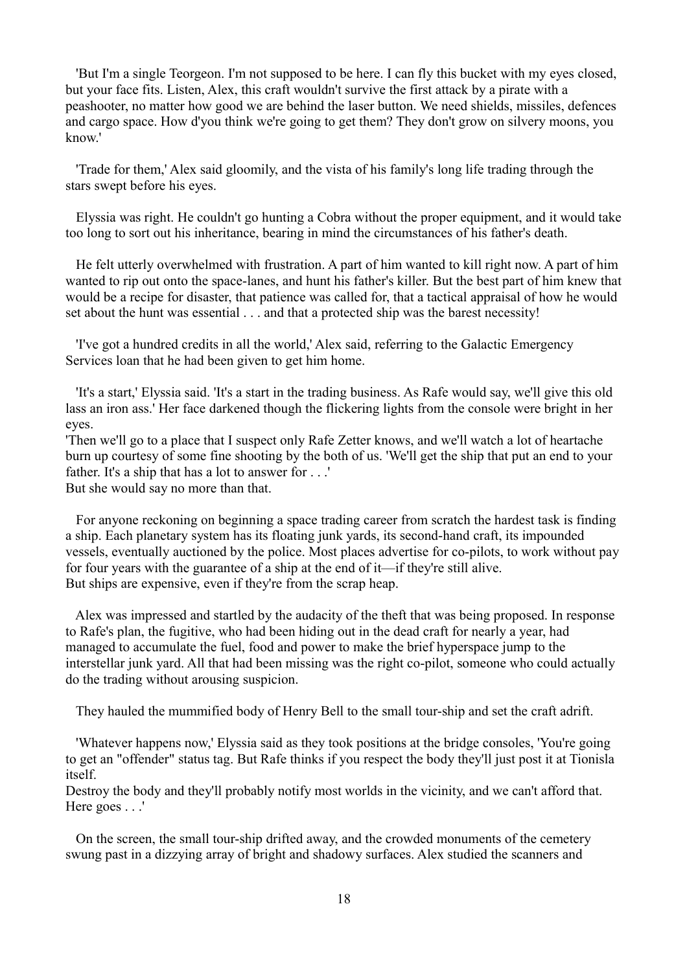'But I'm a single Teorgeon. I'm not supposed to be here. I can fly this bucket with my eyes closed, but your face fits. Listen, Alex, this craft wouldn't survive the first attack by a pirate with a peashooter, no matter how good we are behind the laser button. We need shields, missiles, defences and cargo space. How d'you think we're going to get them? They don't grow on silvery moons, you know.'

 'Trade for them,' Alex said gloomily, and the vista of his family's long life trading through the stars swept before his eyes.

 Elyssia was right. He couldn't go hunting a Cobra without the proper equipment, and it would take too long to sort out his inheritance, bearing in mind the circumstances of his father's death.

 He felt utterly overwhelmed with frustration. A part of him wanted to kill right now. A part of him wanted to rip out onto the space-lanes, and hunt his father's killer. But the best part of him knew that would be a recipe for disaster, that patience was called for, that a tactical appraisal of how he would set about the hunt was essential . . . and that a protected ship was the barest necessity!

 'I've got a hundred credits in all the world,' Alex said, referring to the Galactic Emergency Services loan that he had been given to get him home.

 'It's a start,' Elyssia said. 'It's a start in the trading business. As Rafe would say, we'll give this old lass an iron ass.' Her face darkened though the flickering lights from the console were bright in her eyes.

'Then we'll go to a place that I suspect only Rafe Zetter knows, and we'll watch a lot of heartache burn up courtesy of some fine shooting by the both of us. 'We'll get the ship that put an end to your father. It's a ship that has a lot to answer for . . .' But she would say no more than that.

 For anyone reckoning on beginning a space trading career from scratch the hardest task is finding a ship. Each planetary system has its floating junk yards, its second-hand craft, its impounded vessels, eventually auctioned by the police. Most places advertise for co-pilots, to work without pay for four years with the guarantee of a ship at the end of it—if they're still alive. But ships are expensive, even if they're from the scrap heap.

 Alex was impressed and startled by the audacity of the theft that was being proposed. In response to Rafe's plan, the fugitive, who had been hiding out in the dead craft for nearly a year, had managed to accumulate the fuel, food and power to make the brief hyperspace jump to the interstellar junk yard. All that had been missing was the right co-pilot, someone who could actually do the trading without arousing suspicion.

They hauled the mummified body of Henry Bell to the small tour-ship and set the craft adrift.

 'Whatever happens now,' Elyssia said as they took positions at the bridge consoles, 'You're going to get an "offender" status tag. But Rafe thinks if you respect the body they'll just post it at Tionisla itself.

Destroy the body and they'll probably notify most worlds in the vicinity, and we can't afford that. Here goes . . .'

 On the screen, the small tour-ship drifted away, and the crowded monuments of the cemetery swung past in a dizzying array of bright and shadowy surfaces. Alex studied the scanners and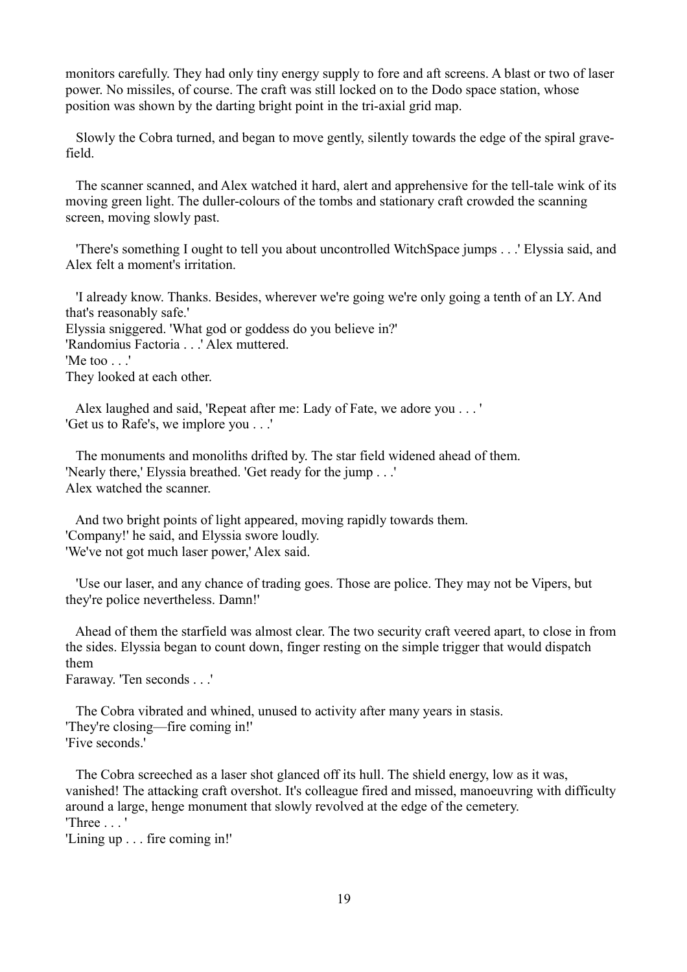monitors carefully. They had only tiny energy supply to fore and aft screens. A blast or two of laser power. No missiles, of course. The craft was still locked on to the Dodo space station, whose position was shown by the darting bright point in the tri-axial grid map.

 Slowly the Cobra turned, and began to move gently, silently towards the edge of the spiral gravefield.

 The scanner scanned, and Alex watched it hard, alert and apprehensive for the tell-tale wink of its moving green light. The duller-colours of the tombs and stationary craft crowded the scanning screen, moving slowly past.

 'There's something I ought to tell you about uncontrolled WitchSpace jumps . . .' Elyssia said, and Alex felt a moment's irritation.

 'I already know. Thanks. Besides, wherever we're going we're only going a tenth of an LY. And that's reasonably safe.' Elyssia sniggered. 'What god or goddess do you believe in?' 'Randomius Factoria . . .' Alex muttered. 'Me too . . .' They looked at each other.

 Alex laughed and said, 'Repeat after me: Lady of Fate, we adore you . . . ' 'Get us to Rafe's, we implore you . . .'

 The monuments and monoliths drifted by. The star field widened ahead of them. 'Nearly there,' Elyssia breathed. 'Get ready for the jump . . .' Alex watched the scanner.

 And two bright points of light appeared, moving rapidly towards them. 'Company!' he said, and Elyssia swore loudly. 'We've not got much laser power,' Alex said.

 'Use our laser, and any chance of trading goes. Those are police. They may not be Vipers, but they're police nevertheless. Damn!'

 Ahead of them the starfield was almost clear. The two security craft veered apart, to close in from the sides. Elyssia began to count down, finger resting on the simple trigger that would dispatch them

Faraway. 'Ten seconds . . .'

 The Cobra vibrated and whined, unused to activity after many years in stasis. 'They're closing—fire coming in!' 'Five seconds.'

 The Cobra screeched as a laser shot glanced off its hull. The shield energy, low as it was, vanished! The attacking craft overshot. It's colleague fired and missed, manoeuvring with difficulty around a large, henge monument that slowly revolved at the edge of the cemetery. 'Three . . . '

'Lining up . . . fire coming in!'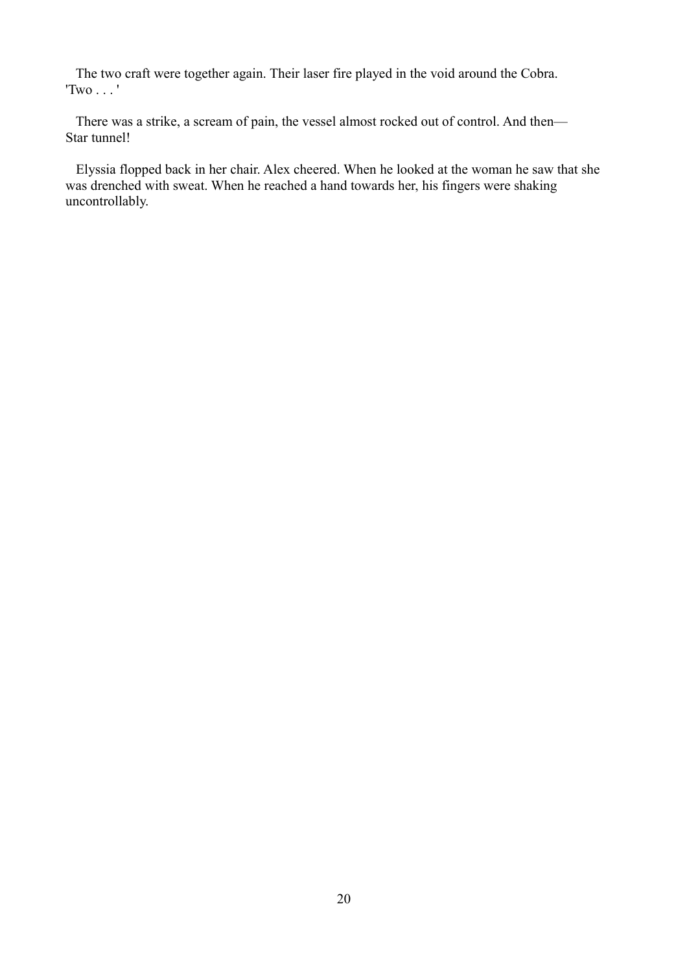The two craft were together again. Their laser fire played in the void around the Cobra. 'Two . . . '

 There was a strike, a scream of pain, the vessel almost rocked out of control. And then— Star tunnel!

 Elyssia flopped back in her chair. Alex cheered. When he looked at the woman he saw that she was drenched with sweat. When he reached a hand towards her, his fingers were shaking uncontrollably.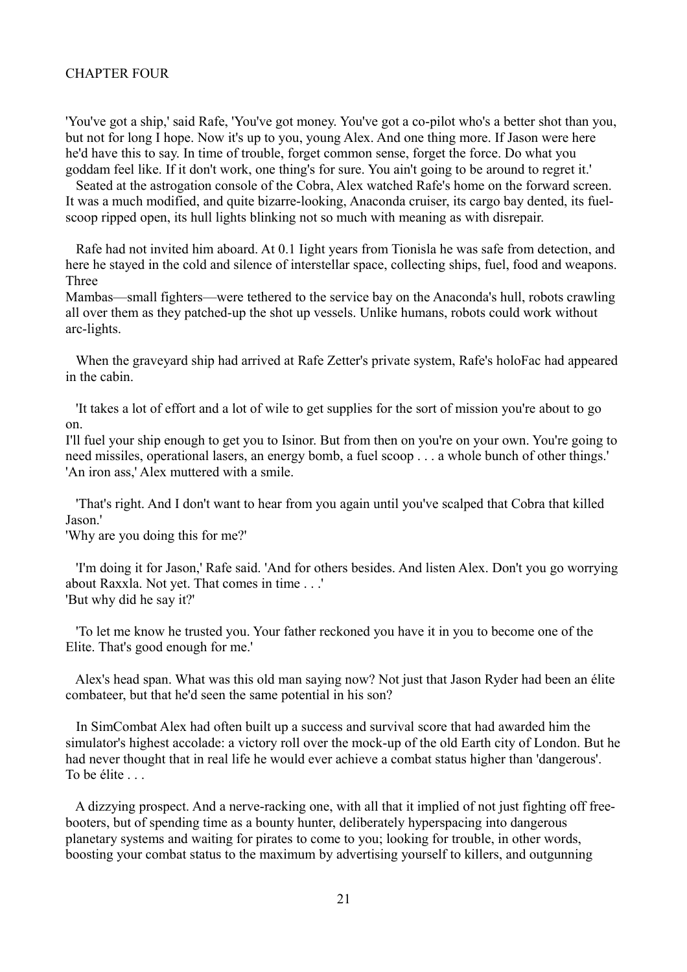#### CHAPTER FOUR

'You've got a ship,' said Rafe, 'You've got money. You've got a co-pilot who's a better shot than you, but not for long I hope. Now it's up to you, young Alex. And one thing more. If Jason were here he'd have this to say. In time of trouble, forget common sense, forget the force. Do what you goddam feel like. If it don't work, one thing's for sure. You ain't going to be around to regret it.'

 Seated at the astrogation console of the Cobra, Alex watched Rafe's home on the forward screen. It was a much modified, and quite bizarre-looking, Anaconda cruiser, its cargo bay dented, its fuelscoop ripped open, its hull lights blinking not so much with meaning as with disrepair.

 Rafe had not invited him aboard. At 0.1 Iight years from Tionisla he was safe from detection, and here he stayed in the cold and silence of interstellar space, collecting ships, fuel, food and weapons. Three

Mambas—small fighters—were tethered to the service bay on the Anaconda's hull, robots crawling all over them as they patched-up the shot up vessels. Unlike humans, robots could work without arc-lights.

 When the graveyard ship had arrived at Rafe Zetter's private system, Rafe's holoFac had appeared in the cabin.

 'It takes a lot of effort and a lot of wile to get supplies for the sort of mission you're about to go on.

I'll fuel your ship enough to get you to Isinor. But from then on you're on your own. You're going to need missiles, operational lasers, an energy bomb, a fuel scoop . . . a whole bunch of other things.' 'An iron ass,' Alex muttered with a smile.

 'That's right. And I don't want to hear from you again until you've scalped that Cobra that killed Jason.'

'Why are you doing this for me?'

 'I'm doing it for Jason,' Rafe said. 'And for others besides. And listen Alex. Don't you go worrying about Raxxla. Not yet. That comes in time . . .' 'But why did he say it?'

 'To let me know he trusted you. Your father reckoned you have it in you to become one of the Elite. That's good enough for me.'

 Alex's head span. What was this old man saying now? Not just that Jason Ryder had been an élite combateer, but that he'd seen the same potential in his son?

 In SimCombat Alex had often built up a success and survival score that had awarded him the simulator's highest accolade: a victory roll over the mock-up of the old Earth city of London. But he had never thought that in real life he would ever achieve a combat status higher than 'dangerous'. To be élite

 A dizzying prospect. And a nerve-racking one, with all that it implied of not just fighting off freebooters, but of spending time as a bounty hunter, deliberately hyperspacing into dangerous planetary systems and waiting for pirates to come to you; looking for trouble, in other words, boosting your combat status to the maximum by advertising yourself to killers, and outgunning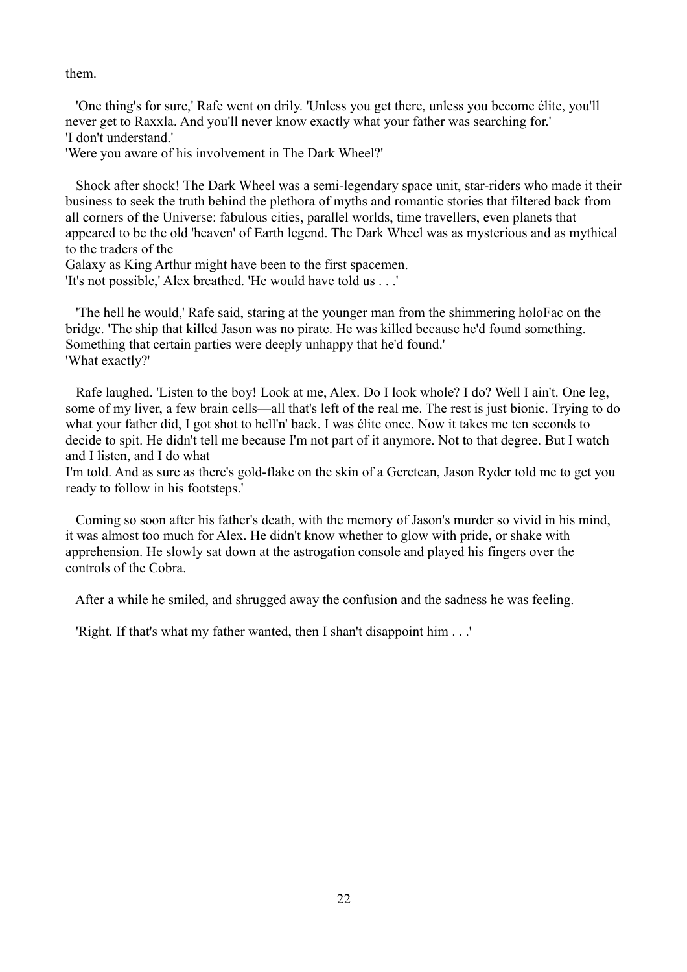them.

 'One thing's for sure,' Rafe went on drily. 'Unless you get there, unless you become élite, you'll never get to Raxxla. And you'll never know exactly what your father was searching for.' 'I don't understand.'

'Were you aware of his involvement in The Dark Wheel?'

 Shock after shock! The Dark Wheel was a semi-legendary space unit, star-riders who made it their business to seek the truth behind the plethora of myths and romantic stories that filtered back from all corners of the Universe: fabulous cities, parallel worlds, time travellers, even planets that appeared to be the old 'heaven' of Earth legend. The Dark Wheel was as mysterious and as mythical to the traders of the

Galaxy as King Arthur might have been to the first spacemen.

'It's not possible,' Alex breathed. 'He would have told us . . .'

 'The hell he would,' Rafe said, staring at the younger man from the shimmering holoFac on the bridge. 'The ship that killed Jason was no pirate. He was killed because he'd found something. Something that certain parties were deeply unhappy that he'd found.' 'What exactly?'

 Rafe laughed. 'Listen to the boy! Look at me, Alex. Do I look whole? I do? Well I ain't. One leg, some of my liver, a few brain cells—all that's left of the real me. The rest is just bionic. Trying to do what your father did, I got shot to hell'n' back. I was élite once. Now it takes me ten seconds to decide to spit. He didn't tell me because I'm not part of it anymore. Not to that degree. But I watch and I listen, and I do what

I'm told. And as sure as there's gold-flake on the skin of a Geretean, Jason Ryder told me to get you ready to follow in his footsteps.'

 Coming so soon after his father's death, with the memory of Jason's murder so vivid in his mind, it was almost too much for Alex. He didn't know whether to glow with pride, or shake with apprehension. He slowly sat down at the astrogation console and played his fingers over the controls of the Cobra.

After a while he smiled, and shrugged away the confusion and the sadness he was feeling.

'Right. If that's what my father wanted, then I shan't disappoint him . . .'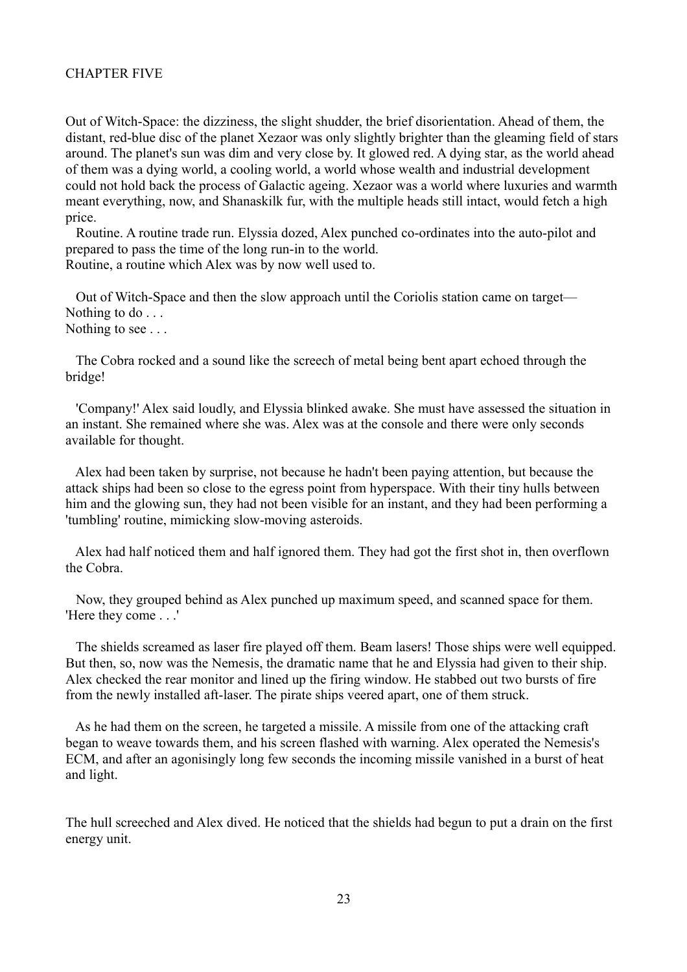#### CHAPTER FIVE

Out of Witch-Space: the dizziness, the slight shudder, the brief disorientation. Ahead of them, the distant, red-blue disc of the planet Xezaor was only slightly brighter than the gleaming field of stars around. The planet's sun was dim and very close by. It glowed red. A dying star, as the world ahead of them was a dying world, a cooling world, a world whose wealth and industrial development could not hold back the process of Galactic ageing. Xezaor was a world where luxuries and warmth meant everything, now, and Shanaskilk fur, with the multiple heads still intact, would fetch a high price.

 Routine. A routine trade run. Elyssia dozed, Alex punched co-ordinates into the auto-pilot and prepared to pass the time of the long run-in to the world. Routine, a routine which Alex was by now well used to.

 Out of Witch-Space and then the slow approach until the Coriolis station came on target— Nothing to do . . . Nothing to see ...

 The Cobra rocked and a sound like the screech of metal being bent apart echoed through the bridge!

 'Company!' Alex said loudly, and Elyssia blinked awake. She must have assessed the situation in an instant. She remained where she was. Alex was at the console and there were only seconds available for thought.

 Alex had been taken by surprise, not because he hadn't been paying attention, but because the attack ships had been so close to the egress point from hyperspace. With their tiny hulls between him and the glowing sun, they had not been visible for an instant, and they had been performing a 'tumbling' routine, mimicking slow-moving asteroids.

 Alex had half noticed them and half ignored them. They had got the first shot in, then overflown the Cobra.

 Now, they grouped behind as Alex punched up maximum speed, and scanned space for them. 'Here they come . . .'

 The shields screamed as laser fire played off them. Beam lasers! Those ships were well equipped. But then, so, now was the Nemesis, the dramatic name that he and Elyssia had given to their ship. Alex checked the rear monitor and lined up the firing window. He stabbed out two bursts of fire from the newly installed aft-laser. The pirate ships veered apart, one of them struck.

 As he had them on the screen, he targeted a missile. A missile from one of the attacking craft began to weave towards them, and his screen flashed with warning. Alex operated the Nemesis's ECM, and after an agonisingly long few seconds the incoming missile vanished in a burst of heat and light.

The hull screeched and Alex dived. He noticed that the shields had begun to put a drain on the first energy unit.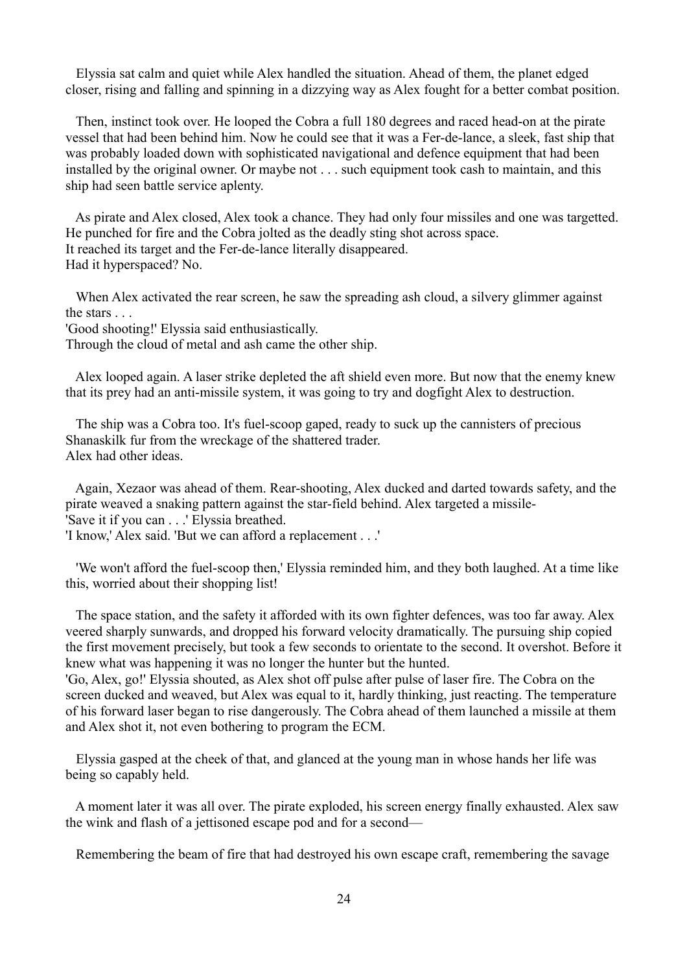Elyssia sat calm and quiet while Alex handled the situation. Ahead of them, the planet edged closer, rising and falling and spinning in a dizzying way as Alex fought for a better combat position.

 Then, instinct took over. He looped the Cobra a full 180 degrees and raced head-on at the pirate vessel that had been behind him. Now he could see that it was a Fer-de-lance, a sleek, fast ship that was probably loaded down with sophisticated navigational and defence equipment that had been installed by the original owner. Or maybe not . . . such equipment took cash to maintain, and this ship had seen battle service aplenty.

 As pirate and Alex closed, Alex took a chance. They had only four missiles and one was targetted. He punched for fire and the Cobra jolted as the deadly sting shot across space. It reached its target and the Fer-de-lance literally disappeared. Had it hyperspaced? No.

When Alex activated the rear screen, he saw the spreading ash cloud, a silvery glimmer against the stars . . .

'Good shooting!' Elyssia said enthusiastically. Through the cloud of metal and ash came the other ship.

 Alex looped again. A laser strike depleted the aft shield even more. But now that the enemy knew that its prey had an anti-missile system, it was going to try and dogfight Alex to destruction.

 The ship was a Cobra too. It's fuel-scoop gaped, ready to suck up the cannisters of precious Shanaskilk fur from the wreckage of the shattered trader. Alex had other ideas.

 Again, Xezaor was ahead of them. Rear-shooting, Alex ducked and darted towards safety, and the pirate weaved a snaking pattern against the star-field behind. Alex targeted a missile- 'Save it if you can . . .' Elyssia breathed. 'I know,' Alex said. 'But we can afford a replacement . . .'

 'We won't afford the fuel-scoop then,' Elyssia reminded him, and they both laughed. At a time like this, worried about their shopping list!

 The space station, and the safety it afforded with its own fighter defences, was too far away. Alex veered sharply sunwards, and dropped his forward velocity dramatically. The pursuing ship copied the first movement precisely, but took a few seconds to orientate to the second. It overshot. Before it knew what was happening it was no longer the hunter but the hunted.

'Go, Alex, go!' Elyssia shouted, as Alex shot off pulse after pulse of laser fire. The Cobra on the screen ducked and weaved, but Alex was equal to it, hardly thinking, just reacting. The temperature of his forward laser began to rise dangerously. The Cobra ahead of them launched a missile at them and Alex shot it, not even bothering to program the ECM.

 Elyssia gasped at the cheek of that, and glanced at the young man in whose hands her life was being so capably held.

 A moment later it was all over. The pirate exploded, his screen energy finally exhausted. Alex saw the wink and flash of a jettisoned escape pod and for a second—

Remembering the beam of fire that had destroyed his own escape craft, remembering the savage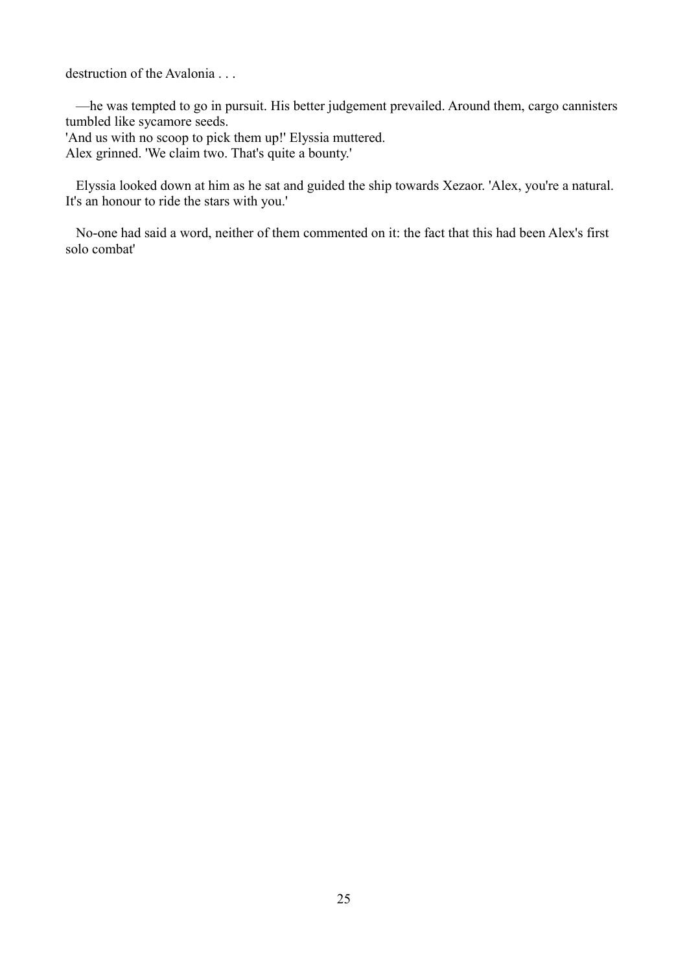destruction of the Avalonia . . .

 —he was tempted to go in pursuit. His better judgement prevailed. Around them, cargo cannisters tumbled like sycamore seeds.

'And us with no scoop to pick them up!' Elyssia muttered. Alex grinned. 'We claim two. That's quite a bounty.'

 Elyssia looked down at him as he sat and guided the ship towards Xezaor. 'Alex, you're a natural. It's an honour to ride the stars with you.'

 No-one had said a word, neither of them commented on it: the fact that this had been Alex's first solo combat'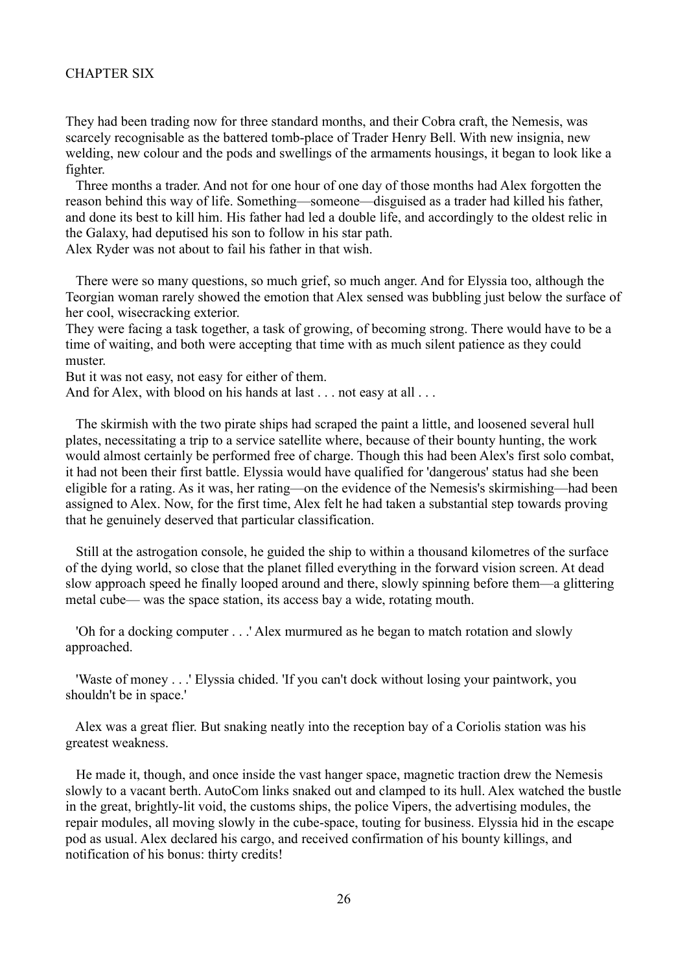#### CHAPTER SIX

They had been trading now for three standard months, and their Cobra craft, the Nemesis, was scarcely recognisable as the battered tomb-place of Trader Henry Bell. With new insignia, new welding, new colour and the pods and swellings of the armaments housings, it began to look like a fighter.

 Three months a trader. And not for one hour of one day of those months had Alex forgotten the reason behind this way of life. Something—someone—disguised as a trader had killed his father, and done its best to kill him. His father had led a double life, and accordingly to the oldest relic in the Galaxy, had deputised his son to follow in his star path.

Alex Ryder was not about to fail his father in that wish.

 There were so many questions, so much grief, so much anger. And for Elyssia too, although the Teorgian woman rarely showed the emotion that Alex sensed was bubbling just below the surface of her cool, wisecracking exterior.

They were facing a task together, a task of growing, of becoming strong. There would have to be a time of waiting, and both were accepting that time with as much silent patience as they could muster.

But it was not easy, not easy for either of them.

And for Alex, with blood on his hands at last . . . not easy at all . . .

 The skirmish with the two pirate ships had scraped the paint a little, and loosened several hull plates, necessitating a trip to a service satellite where, because of their bounty hunting, the work would almost certainly be performed free of charge. Though this had been Alex's first solo combat, it had not been their first battle. Elyssia would have qualified for 'dangerous' status had she been eligible for a rating. As it was, her rating—on the evidence of the Nemesis's skirmishing—had been assigned to Alex. Now, for the first time, Alex felt he had taken a substantial step towards proving that he genuinely deserved that particular classification.

 Still at the astrogation console, he guided the ship to within a thousand kilometres of the surface of the dying world, so close that the planet filled everything in the forward vision screen. At dead slow approach speed he finally looped around and there, slowly spinning before them—a glittering metal cube— was the space station, its access bay a wide, rotating mouth.

 'Oh for a docking computer . . .' Alex murmured as he began to match rotation and slowly approached.

 'Waste of money . . .' Elyssia chided. 'If you can't dock without losing your paintwork, you shouldn't be in space.'

 Alex was a great flier. But snaking neatly into the reception bay of a Coriolis station was his greatest weakness.

 He made it, though, and once inside the vast hanger space, magnetic traction drew the Nemesis slowly to a vacant berth. AutoCom links snaked out and clamped to its hull. Alex watched the bustle in the great, brightly-lit void, the customs ships, the police Vipers, the advertising modules, the repair modules, all moving slowly in the cube-space, touting for business. Elyssia hid in the escape pod as usual. Alex declared his cargo, and received confirmation of his bounty killings, and notification of his bonus: thirty credits!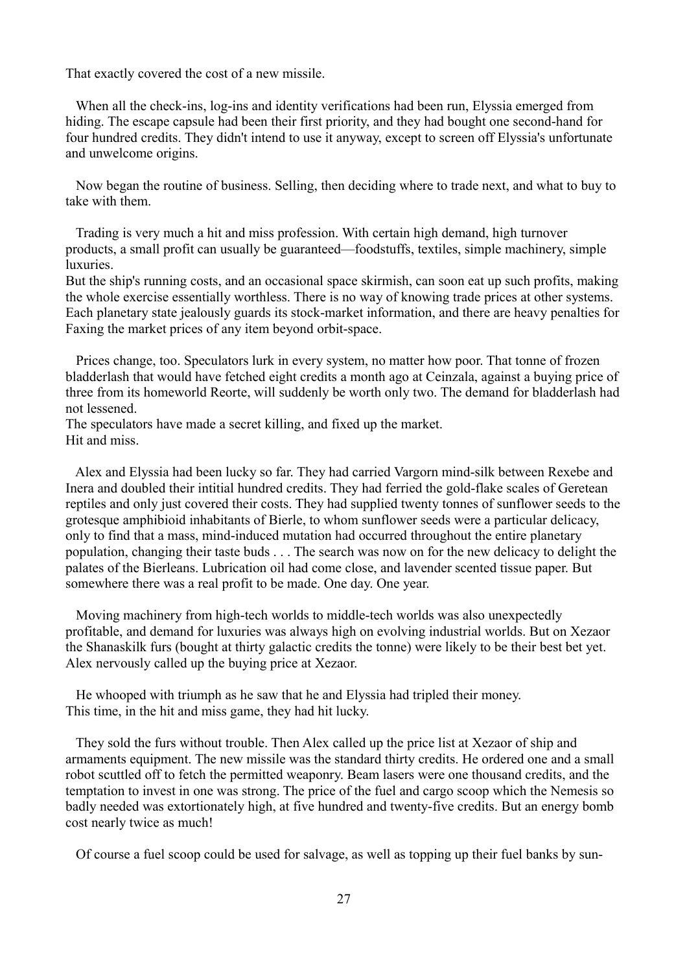That exactly covered the cost of a new missile.

 When all the check-ins, log-ins and identity verifications had been run, Elyssia emerged from hiding. The escape capsule had been their first priority, and they had bought one second-hand for four hundred credits. They didn't intend to use it anyway, except to screen off Elyssia's unfortunate and unwelcome origins.

 Now began the routine of business. Selling, then deciding where to trade next, and what to buy to take with them.

 Trading is very much a hit and miss profession. With certain high demand, high turnover products, a small profit can usually be guaranteed—foodstuffs, textiles, simple machinery, simple luxuries.

But the ship's running costs, and an occasional space skirmish, can soon eat up such profits, making the whole exercise essentially worthless. There is no way of knowing trade prices at other systems. Each planetary state jealously guards its stock-market information, and there are heavy penalties for Faxing the market prices of any item beyond orbit-space.

 Prices change, too. Speculators lurk in every system, no matter how poor. That tonne of frozen bladderlash that would have fetched eight credits a month ago at Ceinzala, against a buying price of three from its homeworld Reorte, will suddenly be worth only two. The demand for bladderlash had not lessened.

The speculators have made a secret killing, and fixed up the market. Hit and miss.

 Alex and Elyssia had been lucky so far. They had carried Vargorn mind-silk between Rexebe and Inera and doubled their intitial hundred credits. They had ferried the gold-flake scales of Geretean reptiles and only just covered their costs. They had supplied twenty tonnes of sunflower seeds to the grotesque amphibioid inhabitants of Bierle, to whom sunflower seeds were a particular delicacy, only to find that a mass, mind-induced mutation had occurred throughout the entire planetary population, changing their taste buds . . . The search was now on for the new delicacy to delight the palates of the Bierleans. Lubrication oil had come close, and lavender scented tissue paper. But somewhere there was a real profit to be made. One day. One year.

 Moving machinery from high-tech worlds to middle-tech worlds was also unexpectedly profitable, and demand for luxuries was always high on evolving industrial worlds. But on Xezaor the Shanaskilk furs (bought at thirty galactic credits the tonne) were likely to be their best bet yet. Alex nervously called up the buying price at Xezaor.

 He whooped with triumph as he saw that he and Elyssia had tripled their money. This time, in the hit and miss game, they had hit lucky.

 They sold the furs without trouble. Then Alex called up the price list at Xezaor of ship and armaments equipment. The new missile was the standard thirty credits. He ordered one and a small robot scuttled off to fetch the permitted weaponry. Beam lasers were one thousand credits, and the temptation to invest in one was strong. The price of the fuel and cargo scoop which the Nemesis so badly needed was extortionately high, at five hundred and twenty-five credits. But an energy bomb cost nearly twice as much!

Of course a fuel scoop could be used for salvage, as well as topping up their fuel banks by sun-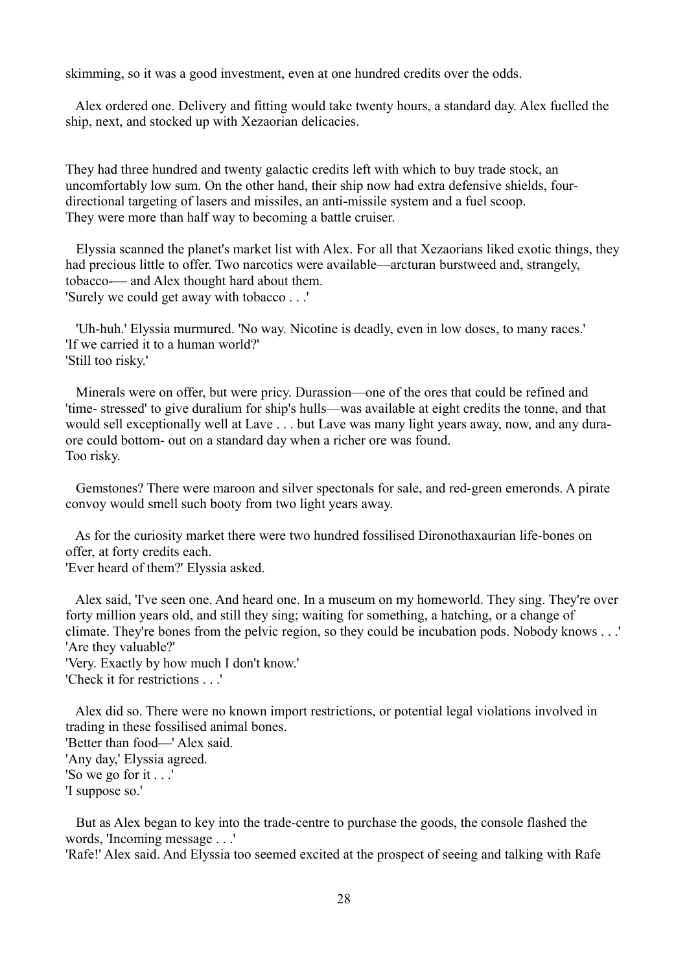skimming, so it was a good investment, even at one hundred credits over the odds.

 Alex ordered one. Delivery and fitting would take twenty hours, a standard day. Alex fuelled the ship, next, and stocked up with Xezaorian delicacies.

They had three hundred and twenty galactic credits left with which to buy trade stock, an uncomfortably low sum. On the other hand, their ship now had extra defensive shields, fourdirectional targeting of lasers and missiles, an anti-missile system and a fuel scoop. They were more than half way to becoming a battle cruiser.

 Elyssia scanned the planet's market list with Alex. For all that Xezaorians liked exotic things, they had precious little to offer. Two narcotics were available—arcturan burstweed and, strangely, tobacco-— and Alex thought hard about them. 'Surely we could get away with tobacco . . .'

 'Uh-huh.' Elyssia murmured. 'No way. Nicotine is deadly, even in low doses, to many races.' 'If we carried it to a human world?' 'Still too risky.'

 Minerals were on offer, but were pricy. Durassion—one of the ores that could be refined and 'time- stressed' to give duralium for ship's hulls—was available at eight credits the tonne, and that would sell exceptionally well at Lave . . . but Lave was many light years away, now, and any duraore could bottom- out on a standard day when a richer ore was found. Too risky.

 Gemstones? There were maroon and silver spectonals for sale, and red-green emeronds. A pirate convoy would smell such booty from two light years away.

 As for the curiosity market there were two hundred fossilised Dironothaxaurian life-bones on offer, at forty credits each.

'Ever heard of them?' Elyssia asked.

 Alex said, 'I've seen one. And heard one. In a museum on my homeworld. They sing. They're over forty million years old, and still they sing; waiting for something, a hatching, or a change of climate. They're bones from the pelvic region, so they could be incubation pods. Nobody knows . . .' 'Are they valuable?' 'Very. Exactly by how much I don't know.'

'Check it for restrictions . . .'

 Alex did so. There were no known import restrictions, or potential legal violations involved in trading in these fossilised animal bones. 'Better than food—' Alex said. 'Any day,' Elyssia agreed.

'So we go for it . . .'

'I suppose so.'

 But as Alex began to key into the trade-centre to purchase the goods, the console flashed the words, 'Incoming message . . .'

'Rafe!' Alex said. And Elyssia too seemed excited at the prospect of seeing and talking with Rafe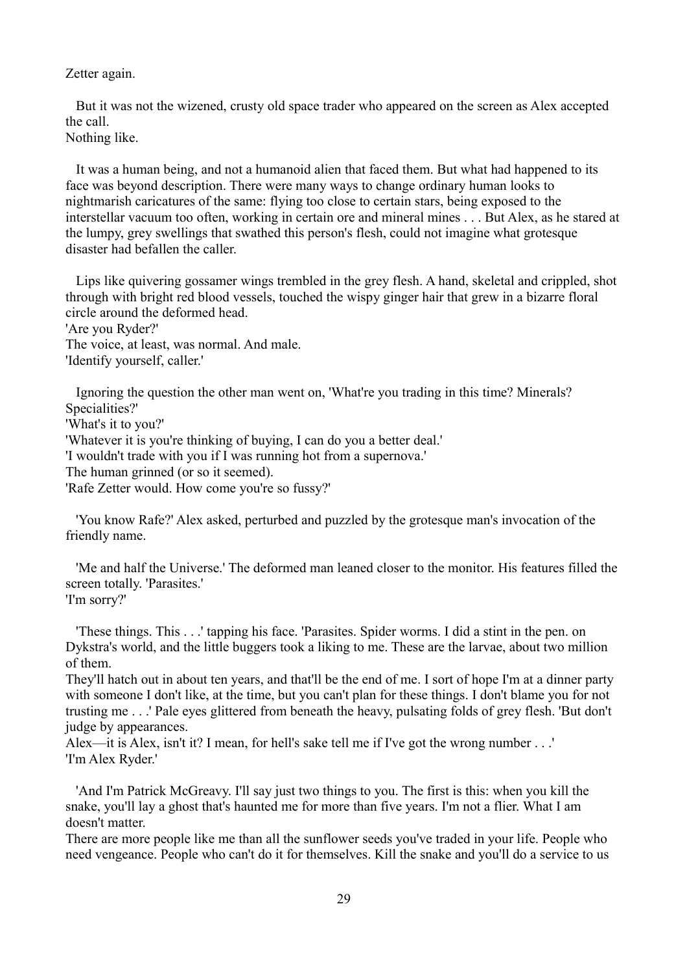Zetter again.

 But it was not the wizened, crusty old space trader who appeared on the screen as Alex accepted the call.

Nothing like.

 It was a human being, and not a humanoid alien that faced them. But what had happened to its face was beyond description. There were many ways to change ordinary human looks to nightmarish caricatures of the same: flying too close to certain stars, being exposed to the interstellar vacuum too often, working in certain ore and mineral mines . . . But Alex, as he stared at the lumpy, grey swellings that swathed this person's flesh, could not imagine what grotesque disaster had befallen the caller.

 Lips like quivering gossamer wings trembled in the grey flesh. A hand, skeletal and crippled, shot through with bright red blood vessels, touched the wispy ginger hair that grew in a bizarre floral circle around the deformed head.

'Are you Ryder?' The voice, at least, was normal. And male. 'Identify yourself, caller.'

 Ignoring the question the other man went on, 'What're you trading in this time? Minerals? Specialities?' 'What's it to you?' 'Whatever it is you're thinking of buying, I can do you a better deal.' 'I wouldn't trade with you if I was running hot from a supernova.'

The human grinned (or so it seemed).

'Rafe Zetter would. How come you're so fussy?'

 'You know Rafe?' Alex asked, perturbed and puzzled by the grotesque man's invocation of the friendly name.

 'Me and half the Universe.' The deformed man leaned closer to the monitor. His features filled the screen totally. 'Parasites.' 'I'm sorry?'

 'These things. This . . .' tapping his face. 'Parasites. Spider worms. I did a stint in the pen. on Dykstra's world, and the little buggers took a liking to me. These are the larvae, about two million of them.

They'll hatch out in about ten years, and that'll be the end of me. I sort of hope I'm at a dinner party with someone I don't like, at the time, but you can't plan for these things. I don't blame you for not trusting me . . .' Pale eyes glittered from beneath the heavy, pulsating folds of grey flesh. 'But don't judge by appearances.

Alex—it is Alex, isn't it? I mean, for hell's sake tell me if I've got the wrong number . . .' 'I'm Alex Ryder.'

 'And I'm Patrick McGreavy. I'll say just two things to you. The first is this: when you kill the snake, you'll lay a ghost that's haunted me for more than five years. I'm not a flier. What I am doesn't matter.

There are more people like me than all the sunflower seeds you've traded in your life. People who need vengeance. People who can't do it for themselves. Kill the snake and you'll do a service to us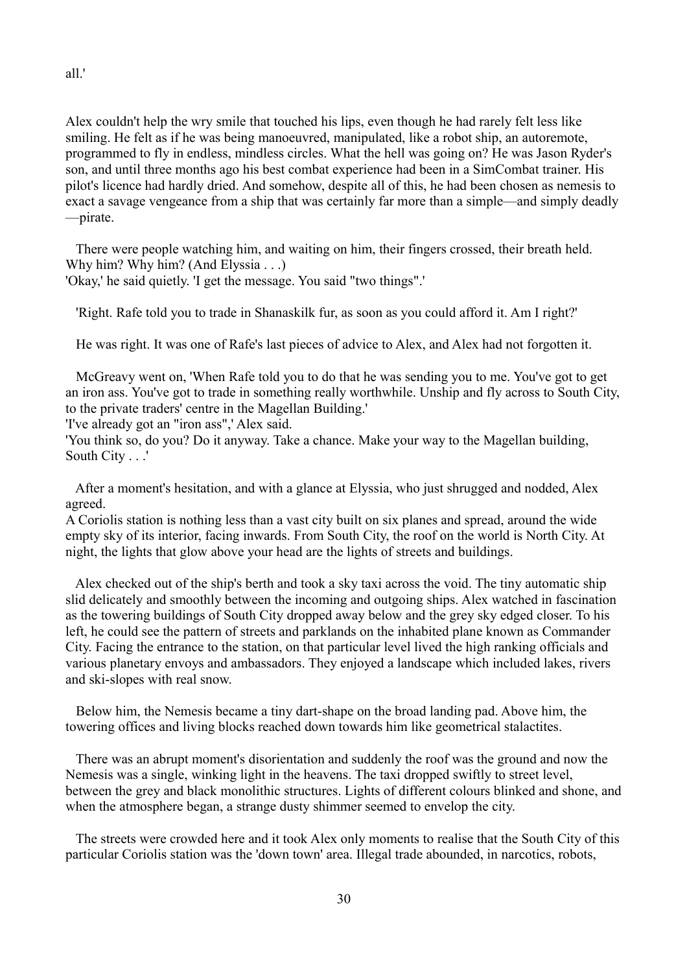all.'

Alex couldn't help the wry smile that touched his lips, even though he had rarely felt less like smiling. He felt as if he was being manoeuvred, manipulated, like a robot ship, an autoremote, programmed to fly in endless, mindless circles. What the hell was going on? He was Jason Ryder's son, and until three months ago his best combat experience had been in a SimCombat trainer. His pilot's licence had hardly dried. And somehow, despite all of this, he had been chosen as nemesis to exact a savage vengeance from a ship that was certainly far more than a simple—and simply deadly —pirate.

 There were people watching him, and waiting on him, their fingers crossed, their breath held. Why him? Why him? (And Elyssia . . .)

'Okay,' he said quietly. 'I get the message. You said "two things".'

'Right. Rafe told you to trade in Shanaskilk fur, as soon as you could afford it. Am I right?'

He was right. It was one of Rafe's last pieces of advice to Alex, and Alex had not forgotten it.

 McGreavy went on, 'When Rafe told you to do that he was sending you to me. You've got to get an iron ass. You've got to trade in something really worthwhile. Unship and fly across to South City, to the private traders' centre in the Magellan Building.'

'I've already got an "iron ass",' Alex said.

'You think so, do you? Do it anyway. Take a chance. Make your way to the Magellan building, South City . . .'

 After a moment's hesitation, and with a glance at Elyssia, who just shrugged and nodded, Alex agreed.

A Coriolis station is nothing less than a vast city built on six planes and spread, around the wide empty sky of its interior, facing inwards. From South City, the roof on the world is North City. At night, the lights that glow above your head are the lights of streets and buildings.

 Alex checked out of the ship's berth and took a sky taxi across the void. The tiny automatic ship slid delicately and smoothly between the incoming and outgoing ships. Alex watched in fascination as the towering buildings of South City dropped away below and the grey sky edged closer. To his left, he could see the pattern of streets and parklands on the inhabited plane known as Commander City. Facing the entrance to the station, on that particular level lived the high ranking officials and various planetary envoys and ambassadors. They enjoyed a landscape which included lakes, rivers and ski-slopes with real snow.

 Below him, the Nemesis became a tiny dart-shape on the broad landing pad. Above him, the towering offices and living blocks reached down towards him like geometrical stalactites.

 There was an abrupt moment's disorientation and suddenly the roof was the ground and now the Nemesis was a single, winking light in the heavens. The taxi dropped swiftly to street level, between the grey and black monolithic structures. Lights of different colours blinked and shone, and when the atmosphere began, a strange dusty shimmer seemed to envelop the city.

 The streets were crowded here and it took Alex only moments to realise that the South City of this particular Coriolis station was the 'down town' area. Illegal trade abounded, in narcotics, robots,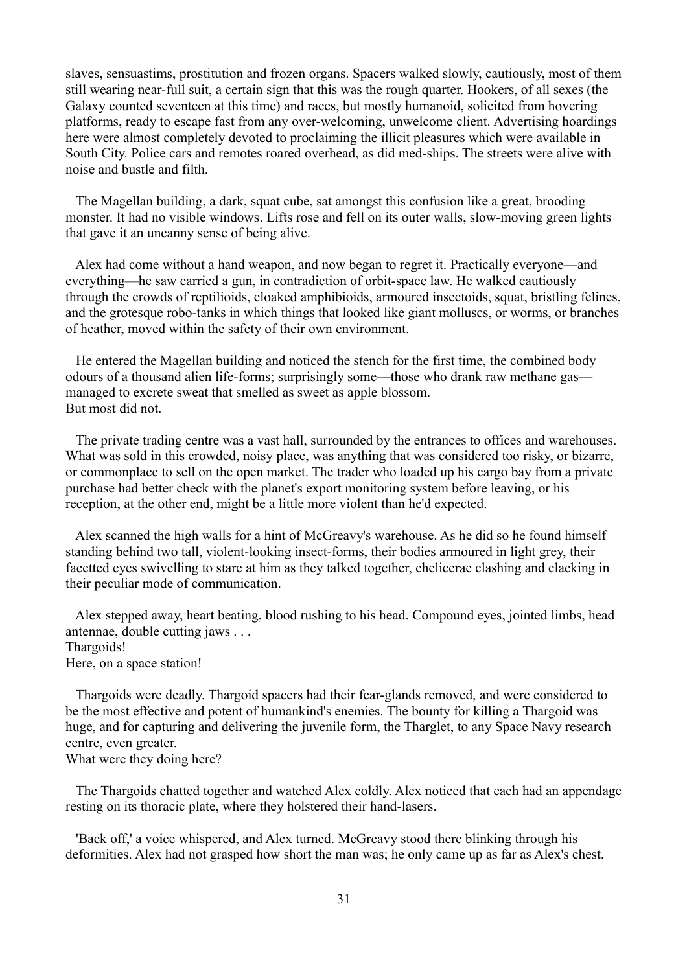slaves, sensuastims, prostitution and frozen organs. Spacers walked slowly, cautiously, most of them still wearing near-full suit, a certain sign that this was the rough quarter. Hookers, of all sexes (the Galaxy counted seventeen at this time) and races, but mostly humanoid, solicited from hovering platforms, ready to escape fast from any over-welcoming, unwelcome client. Advertising hoardings here were almost completely devoted to proclaiming the illicit pleasures which were available in South City. Police cars and remotes roared overhead, as did med-ships. The streets were alive with noise and bustle and filth.

 The Magellan building, a dark, squat cube, sat amongst this confusion like a great, brooding monster. It had no visible windows. Lifts rose and fell on its outer walls, slow-moving green lights that gave it an uncanny sense of being alive.

 Alex had come without a hand weapon, and now began to regret it. Practically everyone—and everything—he saw carried a gun, in contradiction of orbit-space law. He walked cautiously through the crowds of reptilioids, cloaked amphibioids, armoured insectoids, squat, bristling felines, and the grotesque robo-tanks in which things that looked like giant molluscs, or worms, or branches of heather, moved within the safety of their own environment.

 He entered the Magellan building and noticed the stench for the first time, the combined body odours of a thousand alien life-forms; surprisingly some—those who drank raw methane gas managed to excrete sweat that smelled as sweet as apple blossom. But most did not.

 The private trading centre was a vast hall, surrounded by the entrances to offices and warehouses. What was sold in this crowded, noisy place, was anything that was considered too risky, or bizarre, or commonplace to sell on the open market. The trader who loaded up his cargo bay from a private purchase had better check with the planet's export monitoring system before leaving, or his reception, at the other end, might be a little more violent than he'd expected.

 Alex scanned the high walls for a hint of McGreavy's warehouse. As he did so he found himself standing behind two tall, violent-looking insect-forms, their bodies armoured in light grey, their facetted eyes swivelling to stare at him as they talked together, chelicerae clashing and clacking in their peculiar mode of communication.

 Alex stepped away, heart beating, blood rushing to his head. Compound eyes, jointed limbs, head antennae, double cutting jaws . . . Thargoids! Here, on a space station!

 Thargoids were deadly. Thargoid spacers had their fear-glands removed, and were considered to be the most effective and potent of humankind's enemies. The bounty for killing a Thargoid was huge, and for capturing and delivering the juvenile form, the Tharglet, to any Space Navy research centre, even greater.

What were they doing here?

 The Thargoids chatted together and watched Alex coldly. Alex noticed that each had an appendage resting on its thoracic plate, where they holstered their hand-lasers.

 'Back off,' a voice whispered, and Alex turned. McGreavy stood there blinking through his deformities. Alex had not grasped how short the man was; he only came up as far as Alex's chest.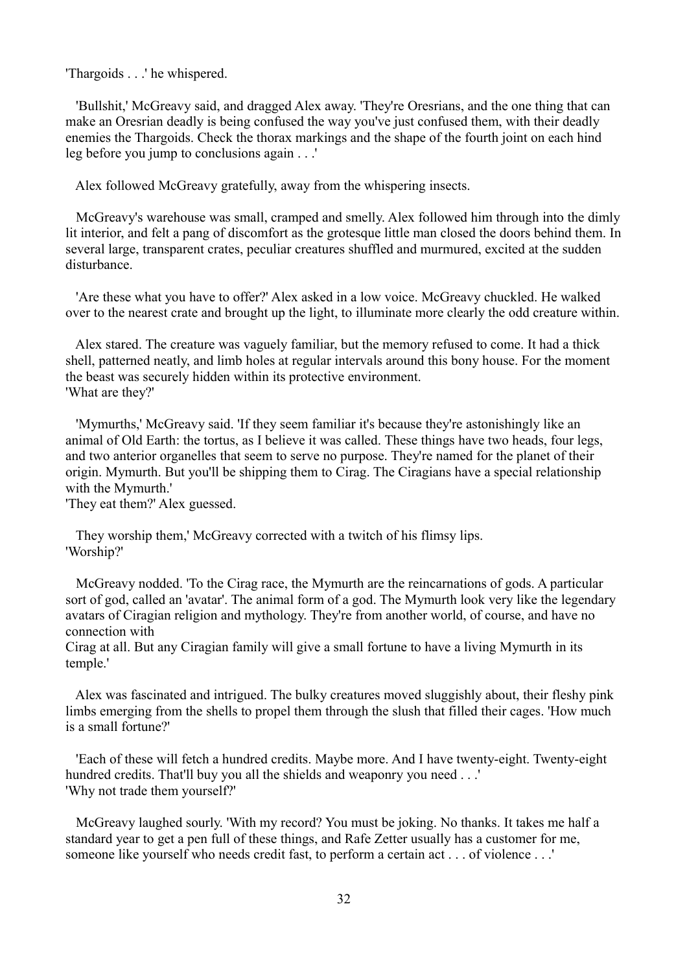'Thargoids . . .' he whispered.

 'Bullshit,' McGreavy said, and dragged Alex away. 'They're Oresrians, and the one thing that can make an Oresrian deadly is being confused the way you've just confused them, with their deadly enemies the Thargoids. Check the thorax markings and the shape of the fourth joint on each hind leg before you jump to conclusions again . . .'

Alex followed McGreavy gratefully, away from the whispering insects.

 McGreavy's warehouse was small, cramped and smelly. Alex followed him through into the dimly lit interior, and felt a pang of discomfort as the grotesque little man closed the doors behind them. In several large, transparent crates, peculiar creatures shuffled and murmured, excited at the sudden disturbance.

 'Are these what you have to offer?' Alex asked in a low voice. McGreavy chuckled. He walked over to the nearest crate and brought up the light, to illuminate more clearly the odd creature within.

 Alex stared. The creature was vaguely familiar, but the memory refused to come. It had a thick shell, patterned neatly, and limb holes at regular intervals around this bony house. For the moment the beast was securely hidden within its protective environment. 'What are they?'

 'Mymurths,' McGreavy said. 'If they seem familiar it's because they're astonishingly like an animal of Old Earth: the tortus, as I believe it was called. These things have two heads, four legs, and two anterior organelles that seem to serve no purpose. They're named for the planet of their origin. Mymurth. But you'll be shipping them to Cirag. The Ciragians have a special relationship with the Mymurth.'

'They eat them?' Alex guessed.

 They worship them,' McGreavy corrected with a twitch of his flimsy lips. 'Worship?'

 McGreavy nodded. 'To the Cirag race, the Mymurth are the reincarnations of gods. A particular sort of god, called an 'avatar'. The animal form of a god. The Mymurth look very like the legendary avatars of Ciragian religion and mythology. They're from another world, of course, and have no connection with

Cirag at all. But any Ciragian family will give a small fortune to have a living Mymurth in its temple.'

 Alex was fascinated and intrigued. The bulky creatures moved sluggishly about, their fleshy pink limbs emerging from the shells to propel them through the slush that filled their cages. 'How much is a small fortune?'

 'Each of these will fetch a hundred credits. Maybe more. And I have twenty-eight. Twenty-eight hundred credits. That'll buy you all the shields and weaponry you need . . .' 'Why not trade them yourself?'

 McGreavy laughed sourly. 'With my record? You must be joking. No thanks. It takes me half a standard year to get a pen full of these things, and Rafe Zetter usually has a customer for me, someone like yourself who needs credit fast, to perform a certain act . . . of violence . . .'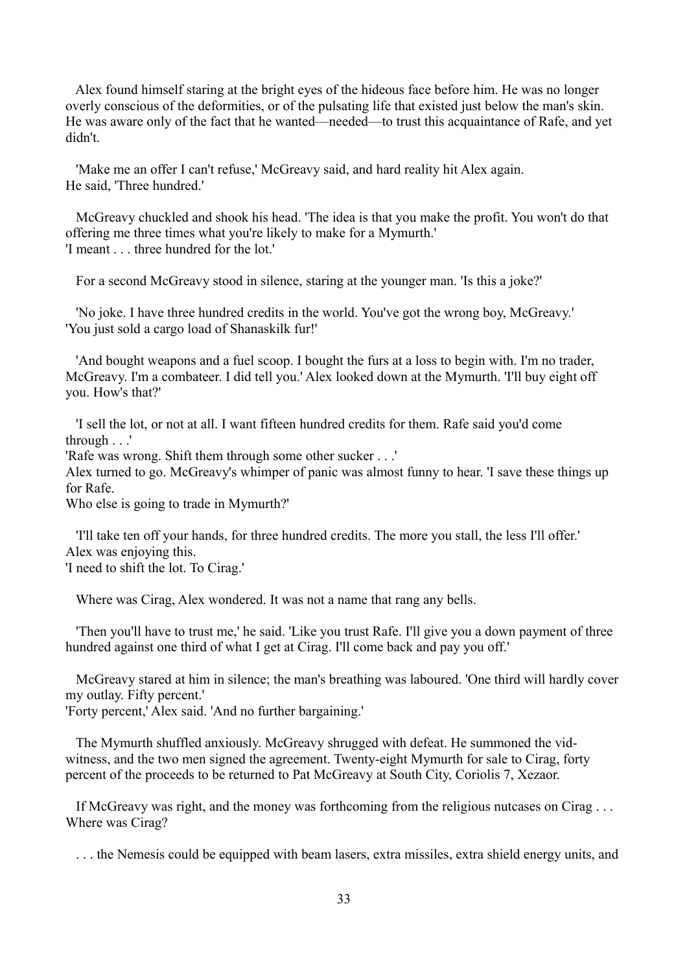Alex found himself staring at the bright eyes of the hideous face before him. He was no longer overly conscious of the deformities, or of the pulsating life that existed just below the man's skin. He was aware only of the fact that he wanted—needed—to trust this acquaintance of Rafe, and yet didn't.

 'Make me an offer I can't refuse,' McGreavy said, and hard reality hit Alex again. He said, 'Three hundred'

 McGreavy chuckled and shook his head. 'The idea is that you make the profit. You won't do that offering me three times what you're likely to make for a Mymurth.' 'I meant . . . three hundred for the lot.'

For a second McGreavy stood in silence, staring at the younger man. 'Is this a joke?'

 'No joke. I have three hundred credits in the world. You've got the wrong boy, McGreavy.' 'You just sold a cargo load of Shanaskilk fur!'

 'And bought weapons and a fuel scoop. I bought the furs at a loss to begin with. I'm no trader, McGreavy. I'm a combateer. I did tell you.' Alex looked down at the Mymurth. 'I'll buy eight off you. How's that?'

 'I sell the lot, or not at all. I want fifteen hundred credits for them. Rafe said you'd come through . . .'

'Rafe was wrong. Shift them through some other sucker . . .'

Alex turned to go. McGreavy's whimper of panic was almost funny to hear. 'I save these things up for Rafe.

Who else is going to trade in Mymurth?'

 'I'll take ten off your hands, for three hundred credits. The more you stall, the less I'll offer.' Alex was enjoying this.

'I need to shift the lot. To Cirag.'

Where was Cirag, Alex wondered. It was not a name that rang any bells.

 'Then you'll have to trust me,' he said. 'Like you trust Rafe. I'll give you a down payment of three hundred against one third of what I get at Cirag. I'll come back and pay you off.'

 McGreavy stared at him in silence; the man's breathing was laboured. 'One third will hardly cover my outlay. Fifty percent.'

'Forty percent,' Alex said. 'And no further bargaining.'

 The Mymurth shuffled anxiously. McGreavy shrugged with defeat. He summoned the vidwitness, and the two men signed the agreement. Twenty-eight Mymurth for sale to Cirag, forty percent of the proceeds to be returned to Pat McGreavy at South City, Coriolis 7, Xezaor.

 If McGreavy was right, and the money was forthcoming from the religious nutcases on Cirag . . . Where was Cirag?

. . . the Nemesis could be equipped with beam lasers, extra missiles, extra shield energy units, and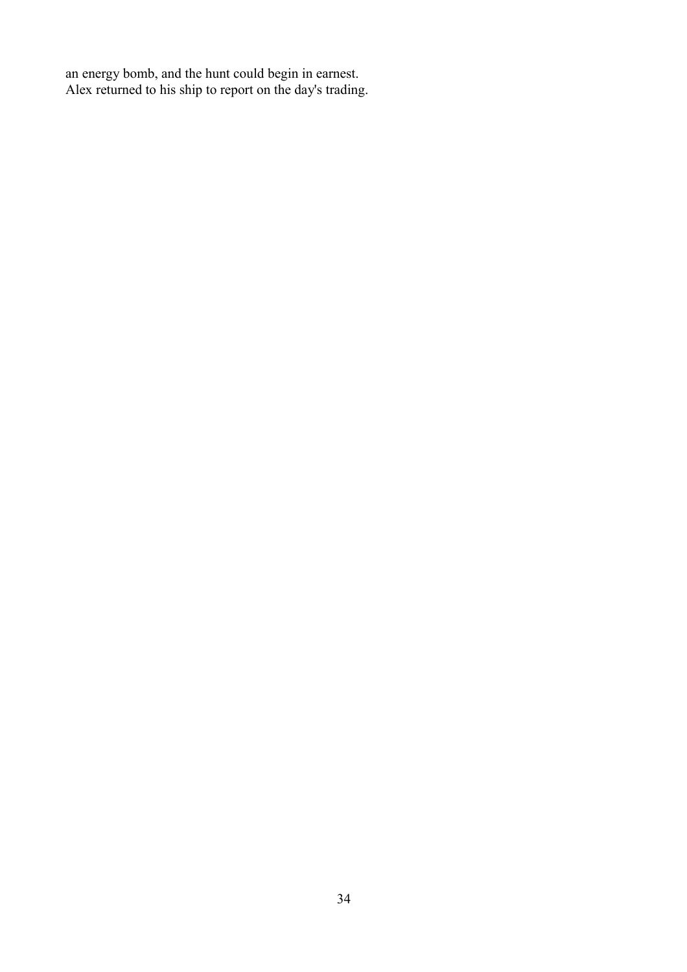an energy bomb, and the hunt could begin in earnest. Alex returned to his ship to report on the day's trading.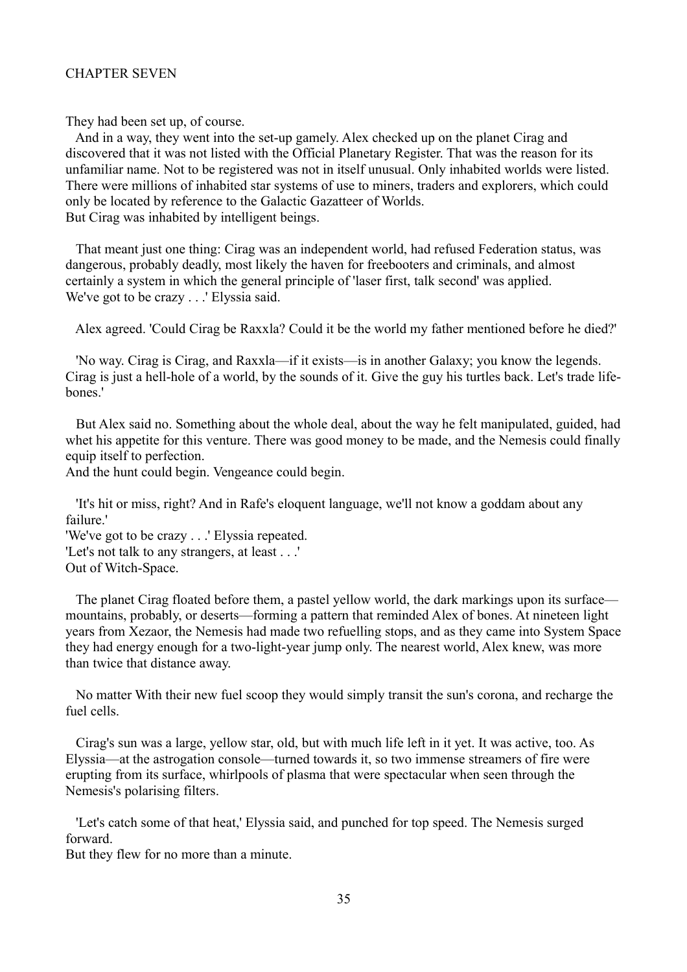#### CHAPTER SEVEN

They had been set up, of course.

 And in a way, they went into the set-up gamely. Alex checked up on the planet Cirag and discovered that it was not listed with the Official Planetary Register. That was the reason for its unfamiliar name. Not to be registered was not in itself unusual. Only inhabited worlds were listed. There were millions of inhabited star systems of use to miners, traders and explorers, which could only be located by reference to the Galactic Gazatteer of Worlds. But Cirag was inhabited by intelligent beings.

 That meant just one thing: Cirag was an independent world, had refused Federation status, was dangerous, probably deadly, most likely the haven for freebooters and criminals, and almost certainly a system in which the general principle of 'laser first, talk second' was applied. We've got to be crazy . . .' Elyssia said.

Alex agreed. 'Could Cirag be Raxxla? Could it be the world my father mentioned before he died?'

 'No way. Cirag is Cirag, and Raxxla—if it exists—is in another Galaxy; you know the legends. Cirag is just a hell-hole of a world, by the sounds of it. Give the guy his turtles back. Let's trade lifebones.'

 But Alex said no. Something about the whole deal, about the way he felt manipulated, guided, had whet his appetite for this venture. There was good money to be made, and the Nemesis could finally equip itself to perfection.

And the hunt could begin. Vengeance could begin.

 'It's hit or miss, right? And in Rafe's eloquent language, we'll not know a goddam about any failure.'

'We've got to be crazy . . .' Elyssia repeated. 'Let's not talk to any strangers, at least . . .' Out of Witch-Space.

 The planet Cirag floated before them, a pastel yellow world, the dark markings upon its surface mountains, probably, or deserts—forming a pattern that reminded Alex of bones. At nineteen light years from Xezaor, the Nemesis had made two refuelling stops, and as they came into System Space they had energy enough for a two-light-year jump only. The nearest world, Alex knew, was more than twice that distance away.

 No matter With their new fuel scoop they would simply transit the sun's corona, and recharge the fuel cells.

 Cirag's sun was a large, yellow star, old, but with much life left in it yet. It was active, too. As Elyssia—at the astrogation console—turned towards it, so two immense streamers of fire were erupting from its surface, whirlpools of plasma that were spectacular when seen through the Nemesis's polarising filters.

 'Let's catch some of that heat,' Elyssia said, and punched for top speed. The Nemesis surged forward.

But they flew for no more than a minute.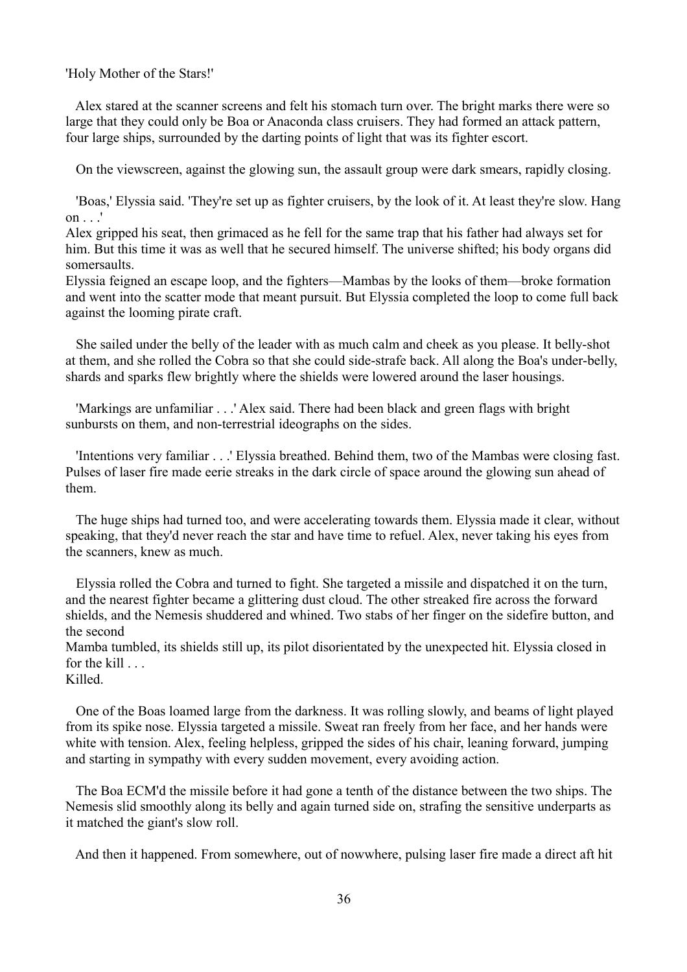'Holy Mother of the Stars!'

 Alex stared at the scanner screens and felt his stomach turn over. The bright marks there were so large that they could only be Boa or Anaconda class cruisers. They had formed an attack pattern, four large ships, surrounded by the darting points of light that was its fighter escort.

On the viewscreen, against the glowing sun, the assault group were dark smears, rapidly closing.

 'Boas,' Elyssia said. 'They're set up as fighter cruisers, by the look of it. At least they're slow. Hang on  $\ldots$ '

Alex gripped his seat, then grimaced as he fell for the same trap that his father had always set for him. But this time it was as well that he secured himself. The universe shifted; his body organs did somersaults.

Elyssia feigned an escape loop, and the fighters—Mambas by the looks of them—broke formation and went into the scatter mode that meant pursuit. But Elyssia completed the loop to come full back against the looming pirate craft.

 She sailed under the belly of the leader with as much calm and cheek as you please. It belly-shot at them, and she rolled the Cobra so that she could side-strafe back. All along the Boa's under-belly, shards and sparks flew brightly where the shields were lowered around the laser housings.

 'Markings are unfamiliar . . .' Alex said. There had been black and green flags with bright sunbursts on them, and non-terrestrial ideographs on the sides.

 'Intentions very familiar . . .' Elyssia breathed. Behind them, two of the Mambas were closing fast. Pulses of laser fire made eerie streaks in the dark circle of space around the glowing sun ahead of them.

 The huge ships had turned too, and were accelerating towards them. Elyssia made it clear, without speaking, that they'd never reach the star and have time to refuel. Alex, never taking his eyes from the scanners, knew as much.

 Elyssia rolled the Cobra and turned to fight. She targeted a missile and dispatched it on the turn, and the nearest fighter became a glittering dust cloud. The other streaked fire across the forward shields, and the Nemesis shuddered and whined. Two stabs of her finger on the sidefire button, and the second

Mamba tumbled, its shields still up, its pilot disorientated by the unexpected hit. Elyssia closed in for the kill . . .

Killed.

 One of the Boas loamed large from the darkness. It was rolling slowly, and beams of light played from its spike nose. Elyssia targeted a missile. Sweat ran freely from her face, and her hands were white with tension. Alex, feeling helpless, gripped the sides of his chair, leaning forward, jumping and starting in sympathy with every sudden movement, every avoiding action.

 The Boa ECM'd the missile before it had gone a tenth of the distance between the two ships. The Nemesis slid smoothly along its belly and again turned side on, strafing the sensitive underparts as it matched the giant's slow roll.

And then it happened. From somewhere, out of nowwhere, pulsing laser fire made a direct aft hit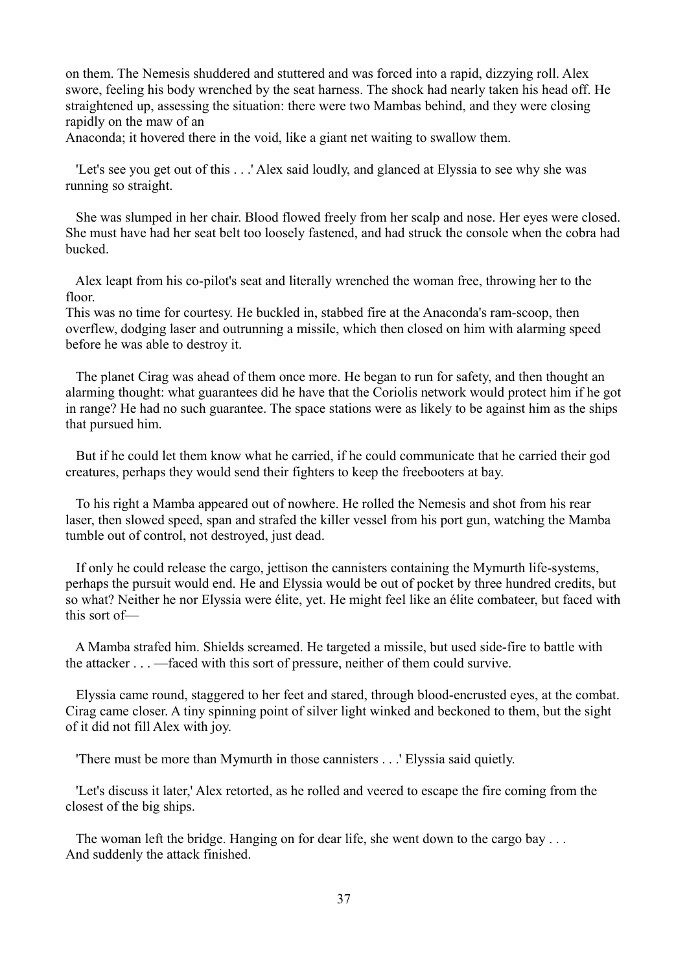on them. The Nemesis shuddered and stuttered and was forced into a rapid, dizzying roll. Alex swore, feeling his body wrenched by the seat harness. The shock had nearly taken his head off. He straightened up, assessing the situation: there were two Mambas behind, and they were closing rapidly on the maw of an

Anaconda; it hovered there in the void, like a giant net waiting to swallow them.

 'Let's see you get out of this . . .' Alex said loudly, and glanced at Elyssia to see why she was running so straight.

 She was slumped in her chair. Blood flowed freely from her scalp and nose. Her eyes were closed. She must have had her seat belt too loosely fastened, and had struck the console when the cobra had bucked.

 Alex leapt from his co-pilot's seat and literally wrenched the woman free, throwing her to the floor.

This was no time for courtesy. He buckled in, stabbed fire at the Anaconda's ram-scoop, then overflew, dodging laser and outrunning a missile, which then closed on him with alarming speed before he was able to destroy it.

 The planet Cirag was ahead of them once more. He began to run for safety, and then thought an alarming thought: what guarantees did he have that the Coriolis network would protect him if he got in range? He had no such guarantee. The space stations were as likely to be against him as the ships that pursued him.

 But if he could let them know what he carried, if he could communicate that he carried their god creatures, perhaps they would send their fighters to keep the freebooters at bay.

 To his right a Mamba appeared out of nowhere. He rolled the Nemesis and shot from his rear laser, then slowed speed, span and strafed the killer vessel from his port gun, watching the Mamba tumble out of control, not destroyed, just dead.

 If only he could release the cargo, jettison the cannisters containing the Mymurth life-systems, perhaps the pursuit would end. He and Elyssia would be out of pocket by three hundred credits, but so what? Neither he nor Elyssia were élite, yet. He might feel like an élite combateer, but faced with this sort of—

 A Mamba strafed him. Shields screamed. He targeted a missile, but used side-fire to battle with the attacker . . . —faced with this sort of pressure, neither of them could survive.

 Elyssia came round, staggered to her feet and stared, through blood-encrusted eyes, at the combat. Cirag came closer. A tiny spinning point of silver light winked and beckoned to them, but the sight of it did not fill Alex with joy.

'There must be more than Mymurth in those cannisters . . .' Elyssia said quietly.

 'Let's discuss it later,' Alex retorted, as he rolled and veered to escape the fire coming from the closest of the big ships.

 The woman left the bridge. Hanging on for dear life, she went down to the cargo bay . . . And suddenly the attack finished.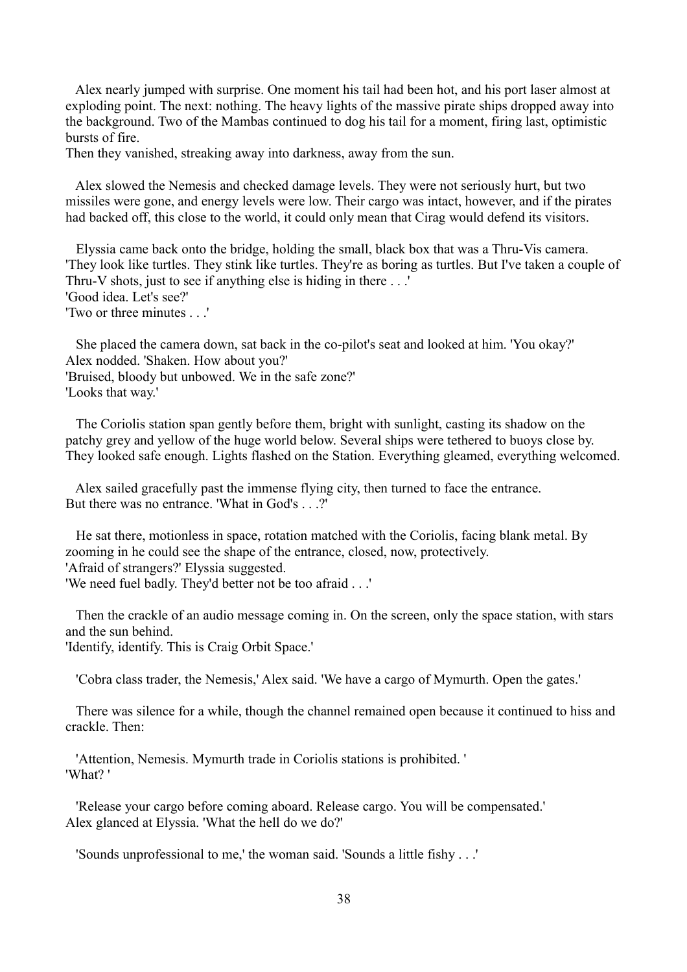Alex nearly jumped with surprise. One moment his tail had been hot, and his port laser almost at exploding point. The next: nothing. The heavy lights of the massive pirate ships dropped away into the background. Two of the Mambas continued to dog his tail for a moment, firing last, optimistic bursts of fire.

Then they vanished, streaking away into darkness, away from the sun.

 Alex slowed the Nemesis and checked damage levels. They were not seriously hurt, but two missiles were gone, and energy levels were low. Their cargo was intact, however, and if the pirates had backed off, this close to the world, it could only mean that Cirag would defend its visitors.

 Elyssia came back onto the bridge, holding the small, black box that was a Thru-Vis camera. 'They look like turtles. They stink like turtles. They're as boring as turtles. But I've taken a couple of Thru-V shots, just to see if anything else is hiding in there . . .' 'Good idea. Let's see?' 'Two or three minutes . . .'

 She placed the camera down, sat back in the co-pilot's seat and looked at him. 'You okay?' Alex nodded. 'Shaken. How about you?' 'Bruised, bloody but unbowed. We in the safe zone?' 'Looks that way.'

 The Coriolis station span gently before them, bright with sunlight, casting its shadow on the patchy grey and yellow of the huge world below. Several ships were tethered to buoys close by. They looked safe enough. Lights flashed on the Station. Everything gleamed, everything welcomed.

 Alex sailed gracefully past the immense flying city, then turned to face the entrance. But there was no entrance. 'What in God's . . .?'

 He sat there, motionless in space, rotation matched with the Coriolis, facing blank metal. By zooming in he could see the shape of the entrance, closed, now, protectively. 'Afraid of strangers?' Elyssia suggested.

'We need fuel badly. They'd better not be too afraid . . .'

 Then the crackle of an audio message coming in. On the screen, only the space station, with stars and the sun behind.

'Identify, identify. This is Craig Orbit Space.'

'Cobra class trader, the Nemesis,' Alex said. 'We have a cargo of Mymurth. Open the gates.'

 There was silence for a while, though the channel remained open because it continued to hiss and crackle. Then:

 'Attention, Nemesis. Mymurth trade in Coriolis stations is prohibited. ' 'What? '

 'Release your cargo before coming aboard. Release cargo. You will be compensated.' Alex glanced at Elyssia. 'What the hell do we do?'

'Sounds unprofessional to me,' the woman said. 'Sounds a little fishy . . .'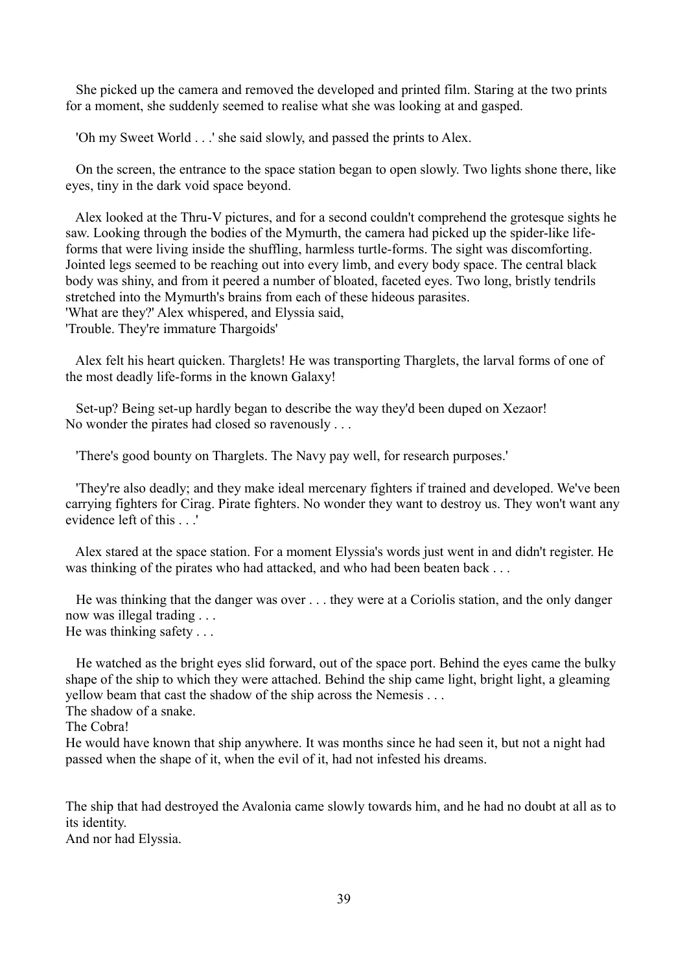She picked up the camera and removed the developed and printed film. Staring at the two prints for a moment, she suddenly seemed to realise what she was looking at and gasped.

'Oh my Sweet World . . .' she said slowly, and passed the prints to Alex.

 On the screen, the entrance to the space station began to open slowly. Two lights shone there, like eyes, tiny in the dark void space beyond.

 Alex looked at the Thru-V pictures, and for a second couldn't comprehend the grotesque sights he saw. Looking through the bodies of the Mymurth, the camera had picked up the spider-like lifeforms that were living inside the shuffling, harmless turtle-forms. The sight was discomforting. Jointed legs seemed to be reaching out into every limb, and every body space. The central black body was shiny, and from it peered a number of bloated, faceted eyes. Two long, bristly tendrils stretched into the Mymurth's brains from each of these hideous parasites. 'What are they?' Alex whispered, and Elyssia said,

'Trouble. They're immature Thargoids'

 Alex felt his heart quicken. Tharglets! He was transporting Tharglets, the larval forms of one of the most deadly life-forms in the known Galaxy!

 Set-up? Being set-up hardly began to describe the way they'd been duped on Xezaor! No wonder the pirates had closed so ravenously . . .

'There's good bounty on Tharglets. The Navy pay well, for research purposes.'

 'They're also deadly; and they make ideal mercenary fighters if trained and developed. We've been carrying fighters for Cirag. Pirate fighters. No wonder they want to destroy us. They won't want any evidence left of this . . .'

 Alex stared at the space station. For a moment Elyssia's words just went in and didn't register. He was thinking of the pirates who had attacked, and who had been beaten back . . .

 He was thinking that the danger was over . . . they were at a Coriolis station, and the only danger now was illegal trading . . . He was thinking safety . . .

 He watched as the bright eyes slid forward, out of the space port. Behind the eyes came the bulky shape of the ship to which they were attached. Behind the ship came light, bright light, a gleaming yellow beam that cast the shadow of the ship across the Nemesis . . .

The shadow of a snake.

The Cobra!

He would have known that ship anywhere. It was months since he had seen it, but not a night had passed when the shape of it, when the evil of it, had not infested his dreams.

The ship that had destroyed the Avalonia came slowly towards him, and he had no doubt at all as to its identity.

And nor had Elyssia.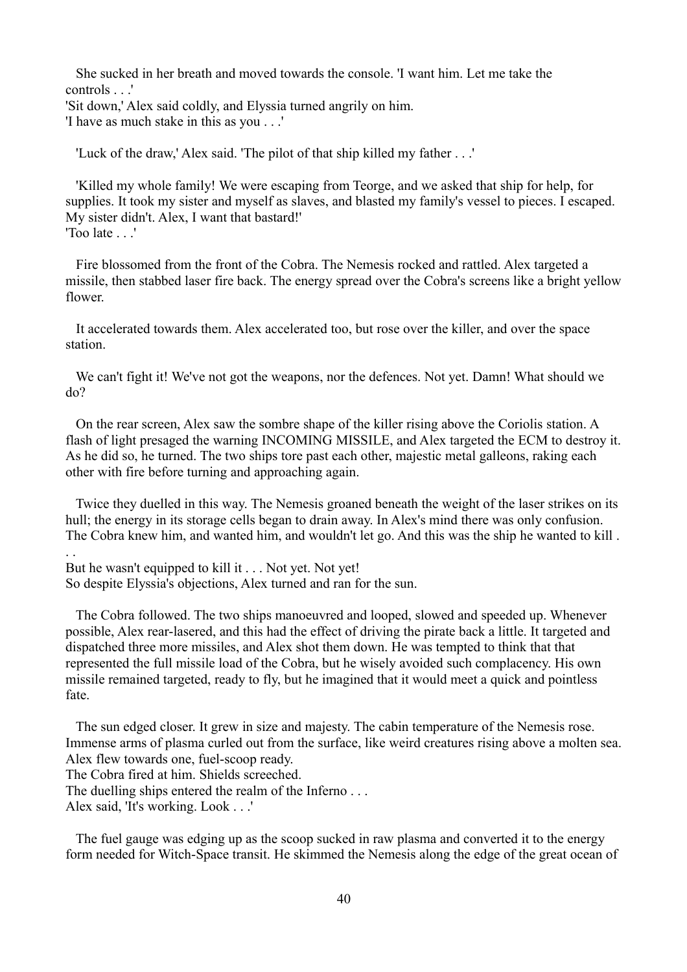She sucked in her breath and moved towards the console. 'I want him. Let me take the controls . . .' 'Sit down,' Alex said coldly, and Elyssia turned angrily on him. 'I have as much stake in this as you . . .'

'Luck of the draw,' Alex said. 'The pilot of that ship killed my father . . .'

 'Killed my whole family! We were escaping from Teorge, and we asked that ship for help, for supplies. It took my sister and myself as slaves, and blasted my family's vessel to pieces. I escaped. My sister didn't. Alex, I want that bastard!' 'Too late . . .'

 Fire blossomed from the front of the Cobra. The Nemesis rocked and rattled. Alex targeted a missile, then stabbed laser fire back. The energy spread over the Cobra's screens like a bright yellow flower.

 It accelerated towards them. Alex accelerated too, but rose over the killer, and over the space station.

We can't fight it! We've not got the weapons, nor the defences. Not yet. Damn! What should we do?

 On the rear screen, Alex saw the sombre shape of the killer rising above the Coriolis station. A flash of light presaged the warning INCOMING MISSILE, and Alex targeted the ECM to destroy it. As he did so, he turned. The two ships tore past each other, majestic metal galleons, raking each other with fire before turning and approaching again.

 Twice they duelled in this way. The Nemesis groaned beneath the weight of the laser strikes on its hull; the energy in its storage cells began to drain away. In Alex's mind there was only confusion. The Cobra knew him, and wanted him, and wouldn't let go. And this was the ship he wanted to kill .

But he wasn't equipped to kill it . . . Not yet. Not yet! So despite Elyssia's objections, Alex turned and ran for the sun.

. .

 The Cobra followed. The two ships manoeuvred and looped, slowed and speeded up. Whenever possible, Alex rear-lasered, and this had the effect of driving the pirate back a little. It targeted and dispatched three more missiles, and Alex shot them down. He was tempted to think that that represented the full missile load of the Cobra, but he wisely avoided such complacency. His own missile remained targeted, ready to fly, but he imagined that it would meet a quick and pointless fate.

 The sun edged closer. It grew in size and majesty. The cabin temperature of the Nemesis rose. Immense arms of plasma curled out from the surface, like weird creatures rising above a molten sea. Alex flew towards one, fuel-scoop ready. The Cobra fired at him. Shields screeched. The duelling ships entered the realm of the Inferno ... Alex said, 'It's working. Look . . .'

 The fuel gauge was edging up as the scoop sucked in raw plasma and converted it to the energy form needed for Witch-Space transit. He skimmed the Nemesis along the edge of the great ocean of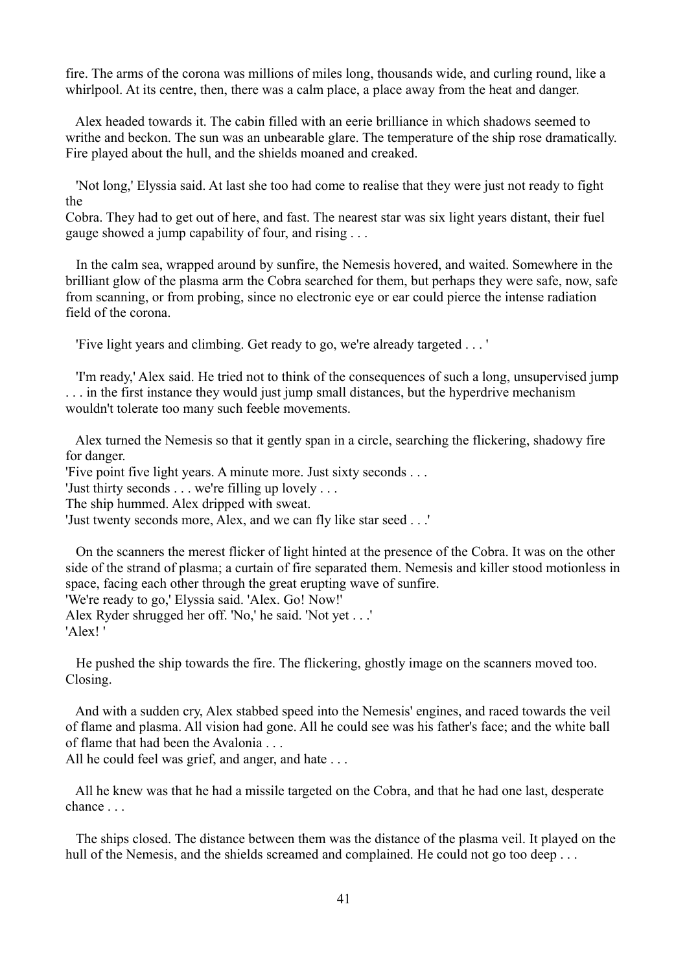fire. The arms of the corona was millions of miles long, thousands wide, and curling round, like a whirlpool. At its centre, then, there was a calm place, a place away from the heat and danger.

 Alex headed towards it. The cabin filled with an eerie brilliance in which shadows seemed to writhe and beckon. The sun was an unbearable glare. The temperature of the ship rose dramatically. Fire played about the hull, and the shields moaned and creaked.

 'Not long,' Elyssia said. At last she too had come to realise that they were just not ready to fight the

Cobra. They had to get out of here, and fast. The nearest star was six light years distant, their fuel gauge showed a jump capability of four, and rising . . .

 In the calm sea, wrapped around by sunfire, the Nemesis hovered, and waited. Somewhere in the brilliant glow of the plasma arm the Cobra searched for them, but perhaps they were safe, now, safe from scanning, or from probing, since no electronic eye or ear could pierce the intense radiation field of the corona.

'Five light years and climbing. Get ready to go, we're already targeted . . . '

 'I'm ready,' Alex said. He tried not to think of the consequences of such a long, unsupervised jump . . . in the first instance they would just jump small distances, but the hyperdrive mechanism wouldn't tolerate too many such feeble movements.

 Alex turned the Nemesis so that it gently span in a circle, searching the flickering, shadowy fire for danger.

'Five point five light years. A minute more. Just sixty seconds . . .

'Just thirty seconds . . . we're filling up lovely . . .

The ship hummed. Alex dripped with sweat.

'Just twenty seconds more, Alex, and we can fly like star seed . . .'

 On the scanners the merest flicker of light hinted at the presence of the Cobra. It was on the other side of the strand of plasma; a curtain of fire separated them. Nemesis and killer stood motionless in space, facing each other through the great erupting wave of sunfire. 'We're ready to go,' Elyssia said. 'Alex. Go! Now!' Alex Ryder shrugged her off. 'No,' he said. 'Not yet . . .'

'Alex! '

 He pushed the ship towards the fire. The flickering, ghostly image on the scanners moved too. Closing.

 And with a sudden cry, Alex stabbed speed into the Nemesis' engines, and raced towards the veil of flame and plasma. All vision had gone. All he could see was his father's face; and the white ball of flame that had been the Avalonia . . .

All he could feel was grief, and anger, and hate . . .

 All he knew was that he had a missile targeted on the Cobra, and that he had one last, desperate chance . . .

 The ships closed. The distance between them was the distance of the plasma veil. It played on the hull of the Nemesis, and the shields screamed and complained. He could not go too deep ...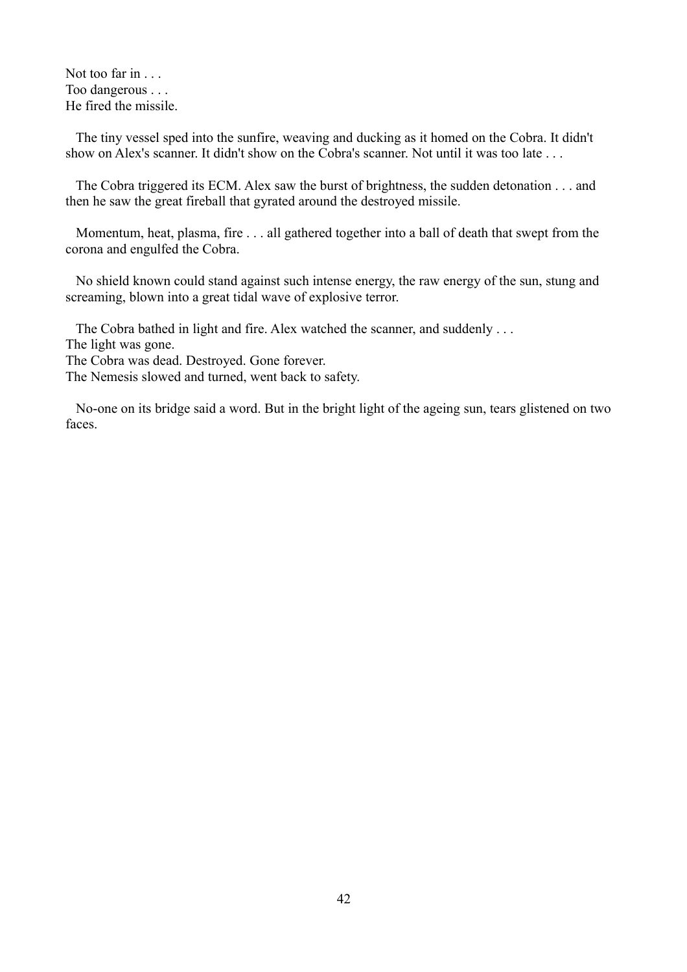Not too far in ... Too dangerous . . . He fired the missile.

 The tiny vessel sped into the sunfire, weaving and ducking as it homed on the Cobra. It didn't show on Alex's scanner. It didn't show on the Cobra's scanner. Not until it was too late . . .

 The Cobra triggered its ECM. Alex saw the burst of brightness, the sudden detonation . . . and then he saw the great fireball that gyrated around the destroyed missile.

 Momentum, heat, plasma, fire . . . all gathered together into a ball of death that swept from the corona and engulfed the Cobra.

 No shield known could stand against such intense energy, the raw energy of the sun, stung and screaming, blown into a great tidal wave of explosive terror.

The Cobra bathed in light and fire. Alex watched the scanner, and suddenly . . .

The light was gone.

The Cobra was dead. Destroyed. Gone forever.

The Nemesis slowed and turned, went back to safety.

 No-one on its bridge said a word. But in the bright light of the ageing sun, tears glistened on two faces.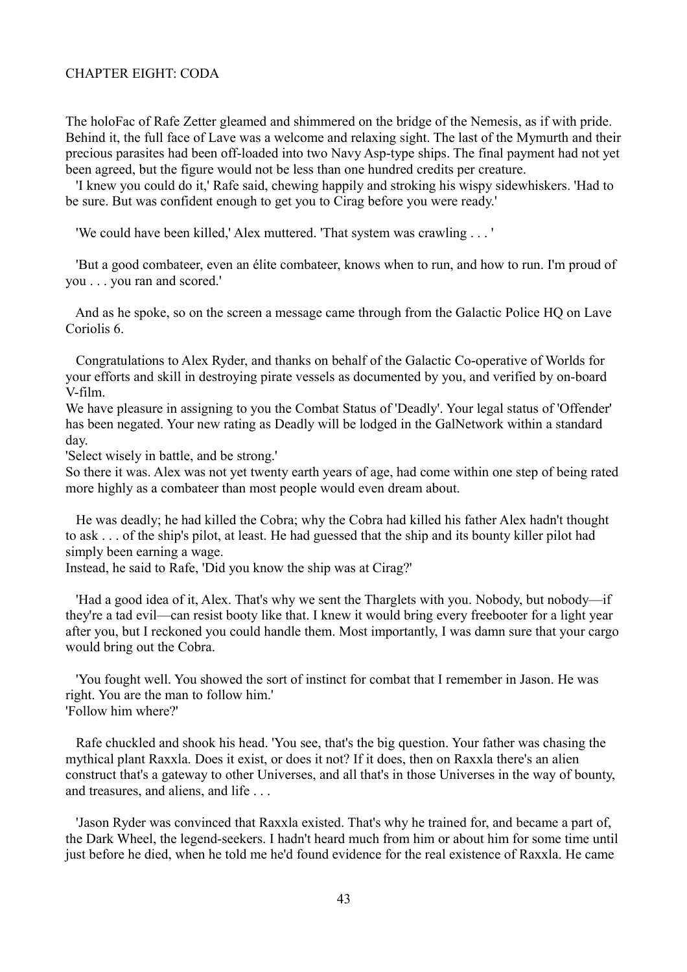## CHAPTER EIGHT: CODA

The holoFac of Rafe Zetter gleamed and shimmered on the bridge of the Nemesis, as if with pride. Behind it, the full face of Lave was a welcome and relaxing sight. The last of the Mymurth and their precious parasites had been off-loaded into two Navy Asp-type ships. The final payment had not yet been agreed, but the figure would not be less than one hundred credits per creature.

 'I knew you could do it,' Rafe said, chewing happily and stroking his wispy sidewhiskers. 'Had to be sure. But was confident enough to get you to Cirag before you were ready.'

'We could have been killed,' Alex muttered. 'That system was crawling . . . '

 'But a good combateer, even an élite combateer, knows when to run, and how to run. I'm proud of you . . . you ran and scored.'

 And as he spoke, so on the screen a message came through from the Galactic Police HQ on Lave Coriolis 6.

 Congratulations to Alex Ryder, and thanks on behalf of the Galactic Co-operative of Worlds for your efforts and skill in destroying pirate vessels as documented by you, and verified by on-board V-film.

We have pleasure in assigning to you the Combat Status of 'Deadly'. Your legal status of 'Offender' has been negated. Your new rating as Deadly will be lodged in the GalNetwork within a standard day.

'Select wisely in battle, and be strong.'

So there it was. Alex was not yet twenty earth years of age, had come within one step of being rated more highly as a combateer than most people would even dream about.

 He was deadly; he had killed the Cobra; why the Cobra had killed his father Alex hadn't thought to ask . . . of the ship's pilot, at least. He had guessed that the ship and its bounty killer pilot had simply been earning a wage.

Instead, he said to Rafe, 'Did you know the ship was at Cirag?'

 'Had a good idea of it, Alex. That's why we sent the Tharglets with you. Nobody, but nobody—if they're a tad evil—can resist booty like that. I knew it would bring every freebooter for a light year after you, but I reckoned you could handle them. Most importantly, I was damn sure that your cargo would bring out the Cobra.

 'You fought well. You showed the sort of instinct for combat that I remember in Jason. He was right. You are the man to follow him.' 'Follow him where?'

 Rafe chuckled and shook his head. 'You see, that's the big question. Your father was chasing the mythical plant Raxxla. Does it exist, or does it not? If it does, then on Raxxla there's an alien construct that's a gateway to other Universes, and all that's in those Universes in the way of bounty, and treasures, and aliens, and life . . .

 'Jason Ryder was convinced that Raxxla existed. That's why he trained for, and became a part of, the Dark Wheel, the legend-seekers. I hadn't heard much from him or about him for some time until just before he died, when he told me he'd found evidence for the real existence of Raxxla. He came